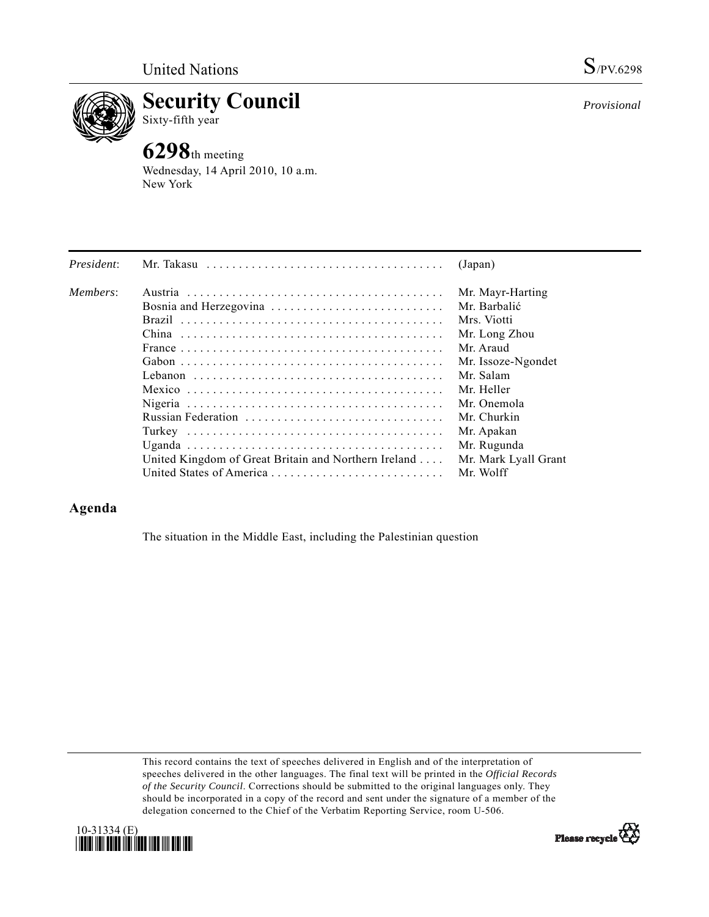

**Security Council**  Sixty-fifth year

# **6298**th meeting

Wednesday, 14 April 2010, 10 a.m. New York

| President: | Mr. Takasu                                           | (Japan)              |
|------------|------------------------------------------------------|----------------------|
| Members:   |                                                      | Mr. Mayr-Harting     |
|            |                                                      | Mr. Barbalić         |
|            |                                                      | Mrs. Viotti          |
|            |                                                      | Mr. Long Zhou        |
|            |                                                      | Mr. Araud            |
|            |                                                      | Mr. Issoze-Ngondet   |
|            |                                                      | Mr. Salam            |
|            |                                                      | Mr. Heller           |
|            |                                                      | Mr. Onemola          |
|            | Russian Federation                                   | Mr. Churkin          |
|            |                                                      | Mr. Apakan           |
|            |                                                      | Mr. Rugunda          |
|            | United Kingdom of Great Britain and Northern Ireland | Mr. Mark Lyall Grant |
|            | United States of America                             | Mr. Wolff            |

# **Agenda**

The situation in the Middle East, including the Palestinian question

This record contains the text of speeches delivered in English and of the interpretation of speeches delivered in the other languages. The final text will be printed in the *Official Records of the Security Council*. Corrections should be submitted to the original languages only. They should be incorporated in a copy of the record and sent under the signature of a member of the delegation concerned to the Chief of the Verbatim Reporting Service, room U-506.



*Provisional*

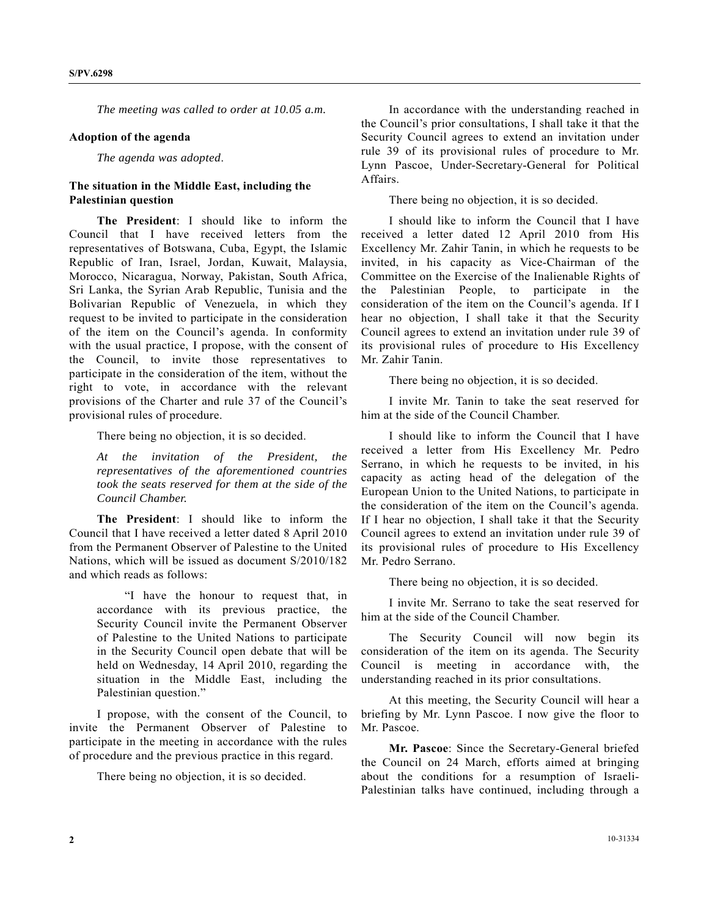*The meeting was called to order at 10.05 a.m.* 

#### **Adoption of the agenda**

*The agenda was adopted*.

## **The situation in the Middle East, including the Palestinian question**

 **The President**: I should like to inform the Council that I have received letters from the representatives of Botswana, Cuba, Egypt, the Islamic Republic of Iran, Israel, Jordan, Kuwait, Malaysia, Morocco, Nicaragua, Norway, Pakistan, South Africa, Sri Lanka, the Syrian Arab Republic, Tunisia and the Bolivarian Republic of Venezuela, in which they request to be invited to participate in the consideration of the item on the Council's agenda. In conformity with the usual practice, I propose, with the consent of the Council, to invite those representatives to participate in the consideration of the item, without the right to vote, in accordance with the relevant provisions of the Charter and rule 37 of the Council's provisional rules of procedure.

There being no objection, it is so decided.

*At the invitation of the President, the representatives of the aforementioned countries took the seats reserved for them at the side of the Council Chamber.* 

 **The President**: I should like to inform the Council that I have received a letter dated 8 April 2010 from the Permanent Observer of Palestine to the United Nations, which will be issued as document S/2010/182 and which reads as follows:

 "I have the honour to request that, in accordance with its previous practice, the Security Council invite the Permanent Observer of Palestine to the United Nations to participate in the Security Council open debate that will be held on Wednesday, 14 April 2010, regarding the situation in the Middle East, including the Palestinian question."

 I propose, with the consent of the Council, to invite the Permanent Observer of Palestine to participate in the meeting in accordance with the rules of procedure and the previous practice in this regard.

There being no objection, it is so decided.

 In accordance with the understanding reached in the Council's prior consultations, I shall take it that the Security Council agrees to extend an invitation under rule 39 of its provisional rules of procedure to Mr. Lynn Pascoe, Under-Secretary-General for Political Affairs.

There being no objection, it is so decided.

 I should like to inform the Council that I have received a letter dated 12 April 2010 from His Excellency Mr. Zahir Tanin, in which he requests to be invited, in his capacity as Vice-Chairman of the Committee on the Exercise of the Inalienable Rights of the Palestinian People, to participate in the consideration of the item on the Council's agenda. If I hear no objection, I shall take it that the Security Council agrees to extend an invitation under rule 39 of its provisional rules of procedure to His Excellency Mr. Zahir Tanin.

There being no objection, it is so decided.

 I invite Mr. Tanin to take the seat reserved for him at the side of the Council Chamber.

 I should like to inform the Council that I have received a letter from His Excellency Mr. Pedro Serrano, in which he requests to be invited, in his capacity as acting head of the delegation of the European Union to the United Nations, to participate in the consideration of the item on the Council's agenda. If I hear no objection, I shall take it that the Security Council agrees to extend an invitation under rule 39 of its provisional rules of procedure to His Excellency Mr. Pedro Serrano.

There being no objection, it is so decided.

 I invite Mr. Serrano to take the seat reserved for him at the side of the Council Chamber.

 The Security Council will now begin its consideration of the item on its agenda. The Security Council is meeting in accordance with, the understanding reached in its prior consultations.

 At this meeting, the Security Council will hear a briefing by Mr. Lynn Pascoe. I now give the floor to Mr. Pascoe.

 **Mr. Pascoe**: Since the Secretary-General briefed the Council on 24 March, efforts aimed at bringing about the conditions for a resumption of Israeli-Palestinian talks have continued, including through a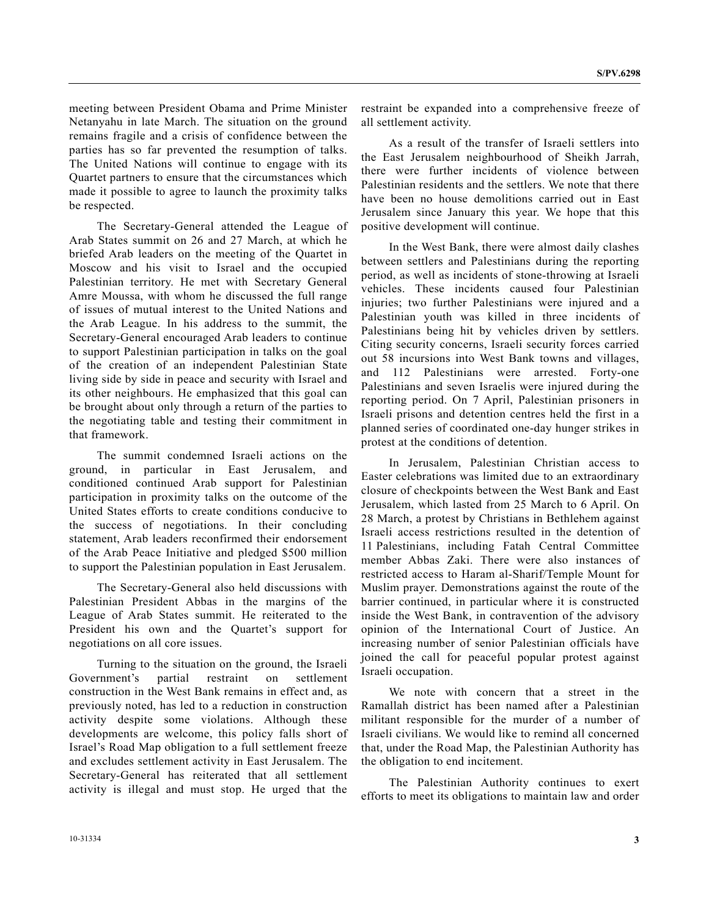meeting between President Obama and Prime Minister Netanyahu in late March. The situation on the ground remains fragile and a crisis of confidence between the parties has so far prevented the resumption of talks. The United Nations will continue to engage with its Quartet partners to ensure that the circumstances which made it possible to agree to launch the proximity talks be respected.

 The Secretary-General attended the League of Arab States summit on 26 and 27 March, at which he briefed Arab leaders on the meeting of the Quartet in Moscow and his visit to Israel and the occupied Palestinian territory. He met with Secretary General Amre Moussa, with whom he discussed the full range of issues of mutual interest to the United Nations and the Arab League. In his address to the summit, the Secretary-General encouraged Arab leaders to continue to support Palestinian participation in talks on the goal of the creation of an independent Palestinian State living side by side in peace and security with Israel and its other neighbours. He emphasized that this goal can be brought about only through a return of the parties to the negotiating table and testing their commitment in that framework.

 The summit condemned Israeli actions on the ground, in particular in East Jerusalem, and conditioned continued Arab support for Palestinian participation in proximity talks on the outcome of the United States efforts to create conditions conducive to the success of negotiations. In their concluding statement, Arab leaders reconfirmed their endorsement of the Arab Peace Initiative and pledged \$500 million to support the Palestinian population in East Jerusalem.

 The Secretary-General also held discussions with Palestinian President Abbas in the margins of the League of Arab States summit. He reiterated to the President his own and the Quartet's support for negotiations on all core issues.

 Turning to the situation on the ground, the Israeli Government's partial restraint on settlement construction in the West Bank remains in effect and, as previously noted, has led to a reduction in construction activity despite some violations. Although these developments are welcome, this policy falls short of Israel's Road Map obligation to a full settlement freeze and excludes settlement activity in East Jerusalem. The Secretary-General has reiterated that all settlement activity is illegal and must stop. He urged that the

restraint be expanded into a comprehensive freeze of all settlement activity.

 As a result of the transfer of Israeli settlers into the East Jerusalem neighbourhood of Sheikh Jarrah, there were further incidents of violence between Palestinian residents and the settlers. We note that there have been no house demolitions carried out in East Jerusalem since January this year. We hope that this positive development will continue.

 In the West Bank, there were almost daily clashes between settlers and Palestinians during the reporting period, as well as incidents of stone-throwing at Israeli vehicles. These incidents caused four Palestinian injuries; two further Palestinians were injured and a Palestinian youth was killed in three incidents of Palestinians being hit by vehicles driven by settlers. Citing security concerns, Israeli security forces carried out 58 incursions into West Bank towns and villages, and 112 Palestinians were arrested. Forty-one Palestinians and seven Israelis were injured during the reporting period. On 7 April, Palestinian prisoners in Israeli prisons and detention centres held the first in a planned series of coordinated one-day hunger strikes in protest at the conditions of detention.

 In Jerusalem, Palestinian Christian access to Easter celebrations was limited due to an extraordinary closure of checkpoints between the West Bank and East Jerusalem, which lasted from 25 March to 6 April. On 28 March, a protest by Christians in Bethlehem against Israeli access restrictions resulted in the detention of 11 Palestinians, including Fatah Central Committee member Abbas Zaki. There were also instances of restricted access to Haram al-Sharif/Temple Mount for Muslim prayer. Demonstrations against the route of the barrier continued, in particular where it is constructed inside the West Bank, in contravention of the advisory opinion of the International Court of Justice. An increasing number of senior Palestinian officials have joined the call for peaceful popular protest against Israeli occupation.

 We note with concern that a street in the Ramallah district has been named after a Palestinian militant responsible for the murder of a number of Israeli civilians. We would like to remind all concerned that, under the Road Map, the Palestinian Authority has the obligation to end incitement.

 The Palestinian Authority continues to exert efforts to meet its obligations to maintain law and order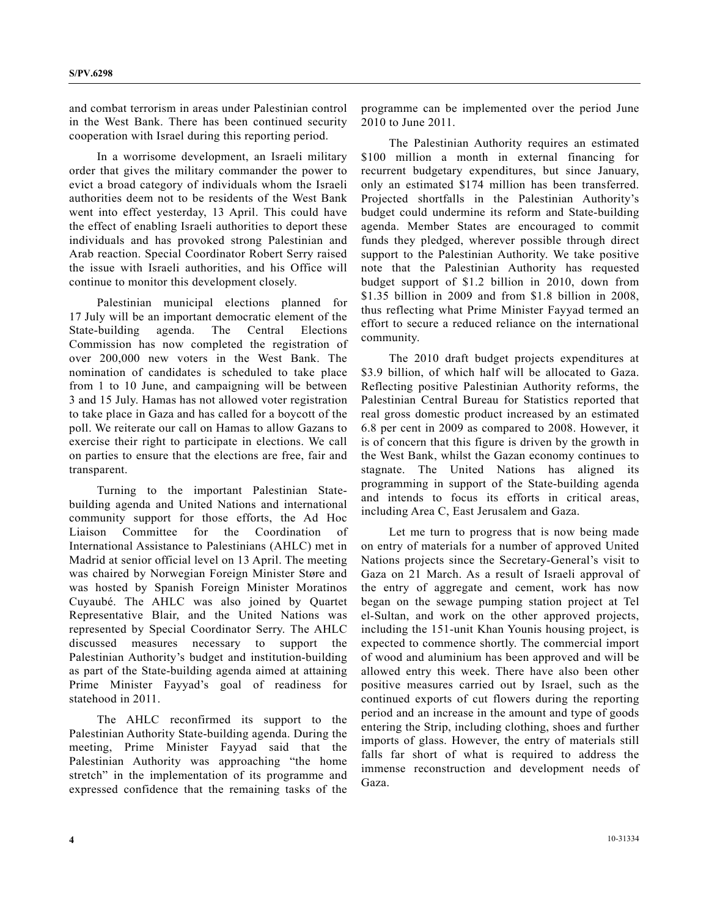and combat terrorism in areas under Palestinian control in the West Bank. There has been continued security cooperation with Israel during this reporting period.

 In a worrisome development, an Israeli military order that gives the military commander the power to evict a broad category of individuals whom the Israeli authorities deem not to be residents of the West Bank went into effect yesterday, 13 April. This could have the effect of enabling Israeli authorities to deport these individuals and has provoked strong Palestinian and Arab reaction. Special Coordinator Robert Serry raised the issue with Israeli authorities, and his Office will continue to monitor this development closely.

 Palestinian municipal elections planned for 17 July will be an important democratic element of the State-building agenda. The Central Elections Commission has now completed the registration of over 200,000 new voters in the West Bank. The nomination of candidates is scheduled to take place from 1 to 10 June, and campaigning will be between 3 and 15 July. Hamas has not allowed voter registration to take place in Gaza and has called for a boycott of the poll. We reiterate our call on Hamas to allow Gazans to exercise their right to participate in elections. We call on parties to ensure that the elections are free, fair and transparent.

 Turning to the important Palestinian Statebuilding agenda and United Nations and international community support for those efforts, the Ad Hoc Liaison Committee for the Coordination of International Assistance to Palestinians (AHLC) met in Madrid at senior official level on 13 April. The meeting was chaired by Norwegian Foreign Minister Støre and was hosted by Spanish Foreign Minister Moratinos Cuyaubé. The AHLC was also joined by Quartet Representative Blair, and the United Nations was represented by Special Coordinator Serry. The AHLC discussed measures necessary to support the Palestinian Authority's budget and institution-building as part of the State-building agenda aimed at attaining Prime Minister Fayyad's goal of readiness for statehood in 2011.

 The AHLC reconfirmed its support to the Palestinian Authority State-building agenda. During the meeting, Prime Minister Fayyad said that the Palestinian Authority was approaching "the home stretch" in the implementation of its programme and expressed confidence that the remaining tasks of the

programme can be implemented over the period June 2010 to June 2011.

 The Palestinian Authority requires an estimated \$100 million a month in external financing for recurrent budgetary expenditures, but since January, only an estimated \$174 million has been transferred. Projected shortfalls in the Palestinian Authority's budget could undermine its reform and State-building agenda. Member States are encouraged to commit funds they pledged, wherever possible through direct support to the Palestinian Authority. We take positive note that the Palestinian Authority has requested budget support of \$1.2 billion in 2010, down from \$1.35 billion in 2009 and from \$1.8 billion in 2008, thus reflecting what Prime Minister Fayyad termed an effort to secure a reduced reliance on the international community.

 The 2010 draft budget projects expenditures at \$3.9 billion, of which half will be allocated to Gaza. Reflecting positive Palestinian Authority reforms, the Palestinian Central Bureau for Statistics reported that real gross domestic product increased by an estimated 6.8 per cent in 2009 as compared to 2008. However, it is of concern that this figure is driven by the growth in the West Bank, whilst the Gazan economy continues to stagnate. The United Nations has aligned its programming in support of the State-building agenda and intends to focus its efforts in critical areas, including Area C, East Jerusalem and Gaza.

 Let me turn to progress that is now being made on entry of materials for a number of approved United Nations projects since the Secretary-General's visit to Gaza on 21 March. As a result of Israeli approval of the entry of aggregate and cement, work has now began on the sewage pumping station project at Tel el-Sultan, and work on the other approved projects, including the 151-unit Khan Younis housing project, is expected to commence shortly. The commercial import of wood and aluminium has been approved and will be allowed entry this week. There have also been other positive measures carried out by Israel, such as the continued exports of cut flowers during the reporting period and an increase in the amount and type of goods entering the Strip, including clothing, shoes and further imports of glass. However, the entry of materials still falls far short of what is required to address the immense reconstruction and development needs of Gaza.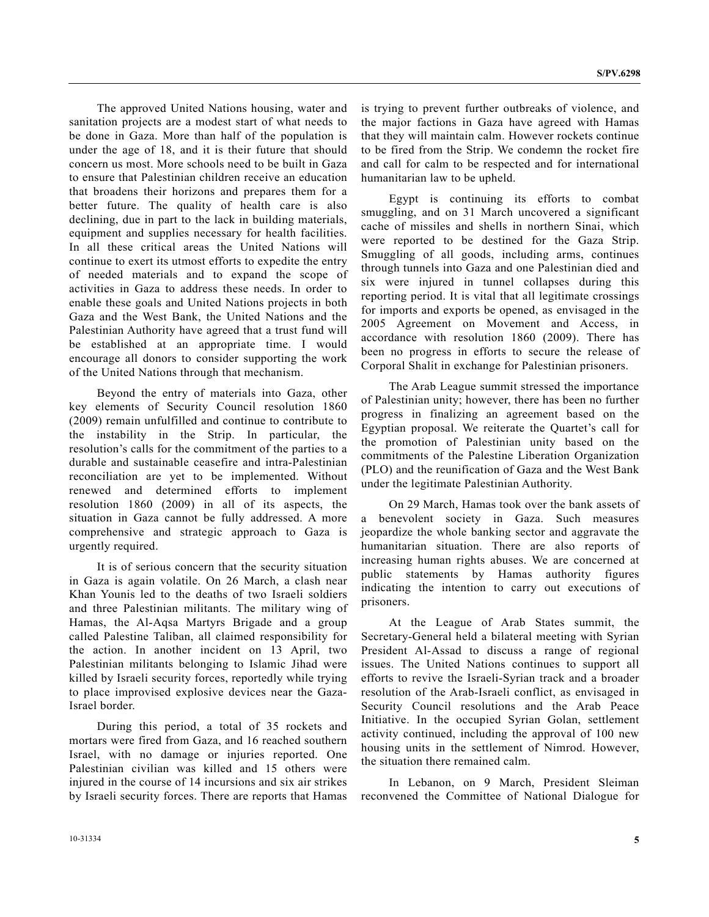The approved United Nations housing, water and sanitation projects are a modest start of what needs to be done in Gaza. More than half of the population is under the age of 18, and it is their future that should concern us most. More schools need to be built in Gaza to ensure that Palestinian children receive an education that broadens their horizons and prepares them for a better future. The quality of health care is also declining, due in part to the lack in building materials, equipment and supplies necessary for health facilities. In all these critical areas the United Nations will continue to exert its utmost efforts to expedite the entry of needed materials and to expand the scope of activities in Gaza to address these needs. In order to enable these goals and United Nations projects in both Gaza and the West Bank, the United Nations and the Palestinian Authority have agreed that a trust fund will be established at an appropriate time. I would encourage all donors to consider supporting the work of the United Nations through that mechanism.

 Beyond the entry of materials into Gaza, other key elements of Security Council resolution 1860 (2009) remain unfulfilled and continue to contribute to the instability in the Strip. In particular, the resolution's calls for the commitment of the parties to a durable and sustainable ceasefire and intra-Palestinian reconciliation are yet to be implemented. Without renewed and determined efforts to implement resolution 1860 (2009) in all of its aspects, the situation in Gaza cannot be fully addressed. A more comprehensive and strategic approach to Gaza is urgently required.

 It is of serious concern that the security situation in Gaza is again volatile. On 26 March, a clash near Khan Younis led to the deaths of two Israeli soldiers and three Palestinian militants. The military wing of Hamas, the Al-Aqsa Martyrs Brigade and a group called Palestine Taliban, all claimed responsibility for the action. In another incident on 13 April, two Palestinian militants belonging to Islamic Jihad were killed by Israeli security forces, reportedly while trying to place improvised explosive devices near the Gaza-Israel border.

 During this period, a total of 35 rockets and mortars were fired from Gaza, and 16 reached southern Israel, with no damage or injuries reported. One Palestinian civilian was killed and 15 others were injured in the course of 14 incursions and six air strikes by Israeli security forces. There are reports that Hamas

is trying to prevent further outbreaks of violence, and the major factions in Gaza have agreed with Hamas that they will maintain calm. However rockets continue to be fired from the Strip. We condemn the rocket fire and call for calm to be respected and for international humanitarian law to be upheld.

 Egypt is continuing its efforts to combat smuggling, and on 31 March uncovered a significant cache of missiles and shells in northern Sinai, which were reported to be destined for the Gaza Strip. Smuggling of all goods, including arms, continues through tunnels into Gaza and one Palestinian died and six were injured in tunnel collapses during this reporting period. It is vital that all legitimate crossings for imports and exports be opened, as envisaged in the 2005 Agreement on Movement and Access, in accordance with resolution 1860 (2009). There has been no progress in efforts to secure the release of Corporal Shalit in exchange for Palestinian prisoners.

 The Arab League summit stressed the importance of Palestinian unity; however, there has been no further progress in finalizing an agreement based on the Egyptian proposal. We reiterate the Quartet's call for the promotion of Palestinian unity based on the commitments of the Palestine Liberation Organization (PLO) and the reunification of Gaza and the West Bank under the legitimate Palestinian Authority.

 On 29 March, Hamas took over the bank assets of a benevolent society in Gaza. Such measures jeopardize the whole banking sector and aggravate the humanitarian situation. There are also reports of increasing human rights abuses. We are concerned at public statements by Hamas authority figures indicating the intention to carry out executions of prisoners.

 At the League of Arab States summit, the Secretary-General held a bilateral meeting with Syrian President Al-Assad to discuss a range of regional issues. The United Nations continues to support all efforts to revive the Israeli-Syrian track and a broader resolution of the Arab-Israeli conflict, as envisaged in Security Council resolutions and the Arab Peace Initiative. In the occupied Syrian Golan, settlement activity continued, including the approval of 100 new housing units in the settlement of Nimrod. However, the situation there remained calm.

 In Lebanon, on 9 March, President Sleiman reconvened the Committee of National Dialogue for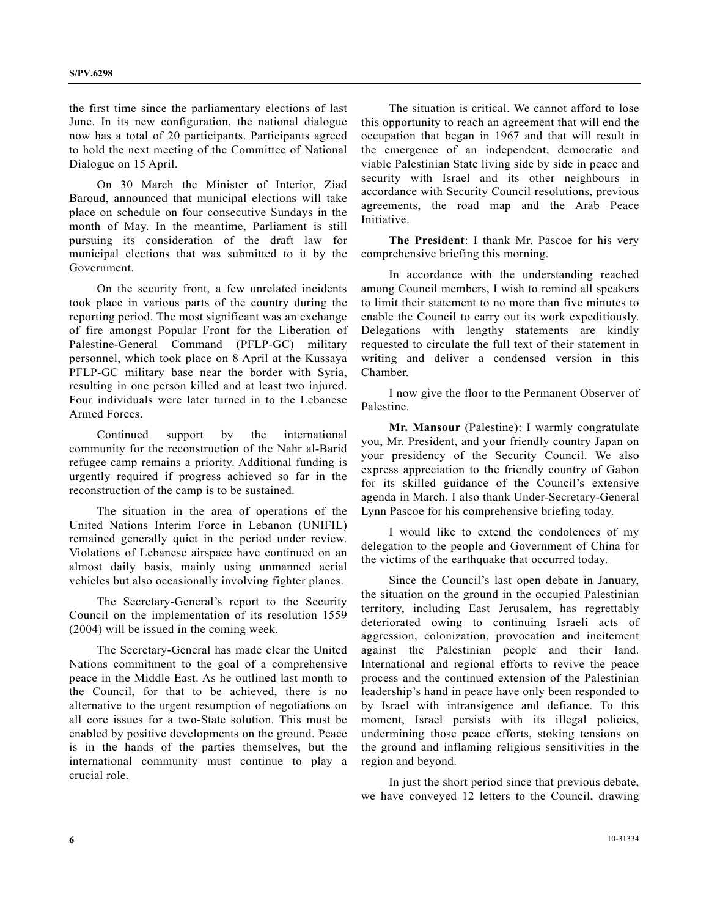the first time since the parliamentary elections of last June. In its new configuration, the national dialogue now has a total of 20 participants. Participants agreed to hold the next meeting of the Committee of National Dialogue on 15 April.

 On 30 March the Minister of Interior, Ziad Baroud, announced that municipal elections will take place on schedule on four consecutive Sundays in the month of May. In the meantime, Parliament is still pursuing its consideration of the draft law for municipal elections that was submitted to it by the Government.

 On the security front, a few unrelated incidents took place in various parts of the country during the reporting period. The most significant was an exchange of fire amongst Popular Front for the Liberation of Palestine-General Command (PFLP-GC) military personnel, which took place on 8 April at the Kussaya PFLP-GC military base near the border with Syria, resulting in one person killed and at least two injured. Four individuals were later turned in to the Lebanese Armed Forces.

 Continued support by the international community for the reconstruction of the Nahr al-Barid refugee camp remains a priority. Additional funding is urgently required if progress achieved so far in the reconstruction of the camp is to be sustained.

 The situation in the area of operations of the United Nations Interim Force in Lebanon (UNIFIL) remained generally quiet in the period under review. Violations of Lebanese airspace have continued on an almost daily basis, mainly using unmanned aerial vehicles but also occasionally involving fighter planes.

 The Secretary-General's report to the Security Council on the implementation of its resolution 1559 (2004) will be issued in the coming week.

 The Secretary-General has made clear the United Nations commitment to the goal of a comprehensive peace in the Middle East. As he outlined last month to the Council, for that to be achieved, there is no alternative to the urgent resumption of negotiations on all core issues for a two-State solution. This must be enabled by positive developments on the ground. Peace is in the hands of the parties themselves, but the international community must continue to play a crucial role.

 The situation is critical. We cannot afford to lose this opportunity to reach an agreement that will end the occupation that began in 1967 and that will result in the emergence of an independent, democratic and viable Palestinian State living side by side in peace and security with Israel and its other neighbours in accordance with Security Council resolutions, previous agreements, the road map and the Arab Peace Initiative.

**The President**: I thank Mr. Pascoe for his very comprehensive briefing this morning.

 In accordance with the understanding reached among Council members, I wish to remind all speakers to limit their statement to no more than five minutes to enable the Council to carry out its work expeditiously. Delegations with lengthy statements are kindly requested to circulate the full text of their statement in writing and deliver a condensed version in this Chamber.

 I now give the floor to the Permanent Observer of Palestine.

**Mr. Mansour** (Palestine): I warmly congratulate you, Mr. President, and your friendly country Japan on your presidency of the Security Council. We also express appreciation to the friendly country of Gabon for its skilled guidance of the Council's extensive agenda in March. I also thank Under-Secretary-General Lynn Pascoe for his comprehensive briefing today.

 I would like to extend the condolences of my delegation to the people and Government of China for the victims of the earthquake that occurred today.

 Since the Council's last open debate in January, the situation on the ground in the occupied Palestinian territory, including East Jerusalem, has regrettably deteriorated owing to continuing Israeli acts of aggression, colonization, provocation and incitement against the Palestinian people and their land. International and regional efforts to revive the peace process and the continued extension of the Palestinian leadership's hand in peace have only been responded to by Israel with intransigence and defiance. To this moment, Israel persists with its illegal policies, undermining those peace efforts, stoking tensions on the ground and inflaming religious sensitivities in the region and beyond.

 In just the short period since that previous debate, we have conveyed 12 letters to the Council, drawing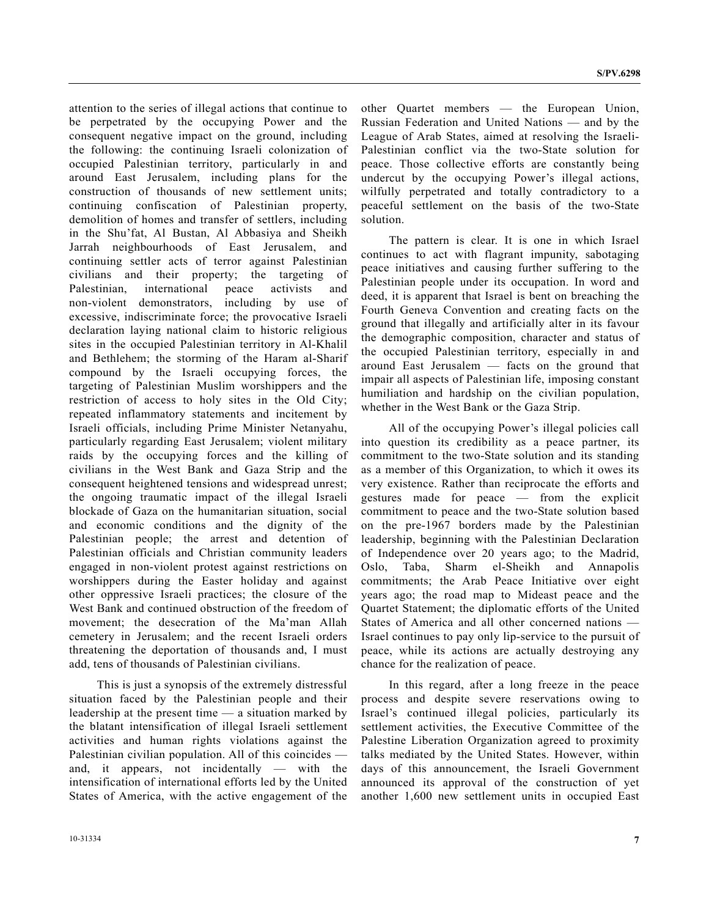attention to the series of illegal actions that continue to be perpetrated by the occupying Power and the consequent negative impact on the ground, including the following: the continuing Israeli colonization of occupied Palestinian territory, particularly in and around East Jerusalem, including plans for the construction of thousands of new settlement units; continuing confiscation of Palestinian property, demolition of homes and transfer of settlers, including in the Shu'fat, Al Bustan, Al Abbasiya and Sheikh Jarrah neighbourhoods of East Jerusalem, and continuing settler acts of terror against Palestinian civilians and their property; the targeting of Palestinian, international peace activists and non-violent demonstrators, including by use of excessive, indiscriminate force; the provocative Israeli declaration laying national claim to historic religious sites in the occupied Palestinian territory in Al-Khalil and Bethlehem; the storming of the Haram al-Sharif compound by the Israeli occupying forces, the targeting of Palestinian Muslim worshippers and the restriction of access to holy sites in the Old City; repeated inflammatory statements and incitement by Israeli officials, including Prime Minister Netanyahu, particularly regarding East Jerusalem; violent military raids by the occupying forces and the killing of civilians in the West Bank and Gaza Strip and the consequent heightened tensions and widespread unrest; the ongoing traumatic impact of the illegal Israeli blockade of Gaza on the humanitarian situation, social and economic conditions and the dignity of the Palestinian people; the arrest and detention of Palestinian officials and Christian community leaders engaged in non-violent protest against restrictions on worshippers during the Easter holiday and against other oppressive Israeli practices; the closure of the West Bank and continued obstruction of the freedom of movement; the desecration of the Ma'man Allah cemetery in Jerusalem; and the recent Israeli orders threatening the deportation of thousands and, I must add, tens of thousands of Palestinian civilians.

 This is just a synopsis of the extremely distressful situation faced by the Palestinian people and their leadership at the present time — a situation marked by the blatant intensification of illegal Israeli settlement activities and human rights violations against the Palestinian civilian population. All of this coincides and, it appears, not incidentally — with the intensification of international efforts led by the United States of America, with the active engagement of the

other Quartet members — the European Union, Russian Federation and United Nations — and by the League of Arab States, aimed at resolving the Israeli-Palestinian conflict via the two-State solution for peace. Those collective efforts are constantly being undercut by the occupying Power's illegal actions, wilfully perpetrated and totally contradictory to a peaceful settlement on the basis of the two-State solution.

 The pattern is clear. It is one in which Israel continues to act with flagrant impunity, sabotaging peace initiatives and causing further suffering to the Palestinian people under its occupation. In word and deed, it is apparent that Israel is bent on breaching the Fourth Geneva Convention and creating facts on the ground that illegally and artificially alter in its favour the demographic composition, character and status of the occupied Palestinian territory, especially in and around East Jerusalem — facts on the ground that impair all aspects of Palestinian life, imposing constant humiliation and hardship on the civilian population, whether in the West Bank or the Gaza Strip.

 All of the occupying Power's illegal policies call into question its credibility as a peace partner, its commitment to the two-State solution and its standing as a member of this Organization, to which it owes its very existence. Rather than reciprocate the efforts and gestures made for peace — from the explicit commitment to peace and the two-State solution based on the pre-1967 borders made by the Palestinian leadership, beginning with the Palestinian Declaration of Independence over 20 years ago; to the Madrid, Oslo, Taba, Sharm el-Sheikh and Annapolis commitments; the Arab Peace Initiative over eight years ago; the road map to Mideast peace and the Quartet Statement; the diplomatic efforts of the United States of America and all other concerned nations — Israel continues to pay only lip-service to the pursuit of peace, while its actions are actually destroying any chance for the realization of peace.

 In this regard, after a long freeze in the peace process and despite severe reservations owing to Israel's continued illegal policies, particularly its settlement activities, the Executive Committee of the Palestine Liberation Organization agreed to proximity talks mediated by the United States. However, within days of this announcement, the Israeli Government announced its approval of the construction of yet another 1,600 new settlement units in occupied East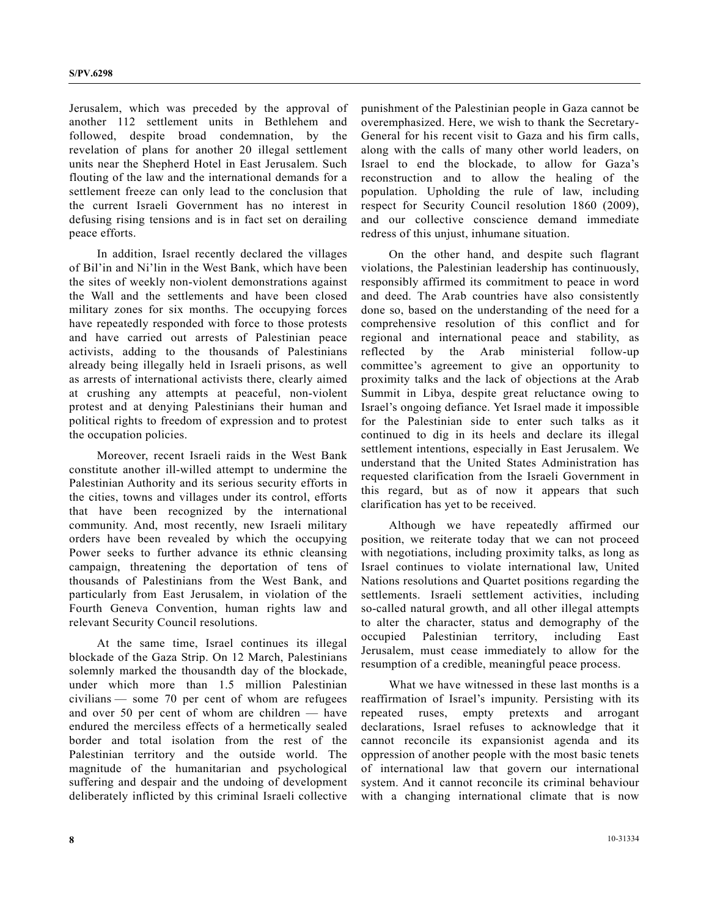Jerusalem, which was preceded by the approval of another 112 settlement units in Bethlehem and followed, despite broad condemnation, by the revelation of plans for another 20 illegal settlement units near the Shepherd Hotel in East Jerusalem. Such flouting of the law and the international demands for a settlement freeze can only lead to the conclusion that the current Israeli Government has no interest in defusing rising tensions and is in fact set on derailing peace efforts.

 In addition, Israel recently declared the villages of Bil'in and Ni'lin in the West Bank, which have been the sites of weekly non-violent demonstrations against the Wall and the settlements and have been closed military zones for six months. The occupying forces have repeatedly responded with force to those protests and have carried out arrests of Palestinian peace activists, adding to the thousands of Palestinians already being illegally held in Israeli prisons, as well as arrests of international activists there, clearly aimed at crushing any attempts at peaceful, non-violent protest and at denying Palestinians their human and political rights to freedom of expression and to protest the occupation policies.

 Moreover, recent Israeli raids in the West Bank constitute another ill-willed attempt to undermine the Palestinian Authority and its serious security efforts in the cities, towns and villages under its control, efforts that have been recognized by the international community. And, most recently, new Israeli military orders have been revealed by which the occupying Power seeks to further advance its ethnic cleansing campaign, threatening the deportation of tens of thousands of Palestinians from the West Bank, and particularly from East Jerusalem, in violation of the Fourth Geneva Convention, human rights law and relevant Security Council resolutions.

 At the same time, Israel continues its illegal blockade of the Gaza Strip. On 12 March, Palestinians solemnly marked the thousandth day of the blockade, under which more than 1.5 million Palestinian civilians — some 70 per cent of whom are refugees and over 50 per cent of whom are children — have endured the merciless effects of a hermetically sealed border and total isolation from the rest of the Palestinian territory and the outside world. The magnitude of the humanitarian and psychological suffering and despair and the undoing of development deliberately inflicted by this criminal Israeli collective

punishment of the Palestinian people in Gaza cannot be overemphasized. Here, we wish to thank the Secretary-General for his recent visit to Gaza and his firm calls, along with the calls of many other world leaders, on Israel to end the blockade, to allow for Gaza's reconstruction and to allow the healing of the population. Upholding the rule of law, including respect for Security Council resolution 1860 (2009), and our collective conscience demand immediate redress of this unjust, inhumane situation.

 On the other hand, and despite such flagrant violations, the Palestinian leadership has continuously, responsibly affirmed its commitment to peace in word and deed. The Arab countries have also consistently done so, based on the understanding of the need for a comprehensive resolution of this conflict and for regional and international peace and stability, as reflected by the Arab ministerial follow-up committee's agreement to give an opportunity to proximity talks and the lack of objections at the Arab Summit in Libya, despite great reluctance owing to Israel's ongoing defiance. Yet Israel made it impossible for the Palestinian side to enter such talks as it continued to dig in its heels and declare its illegal settlement intentions, especially in East Jerusalem. We understand that the United States Administration has requested clarification from the Israeli Government in this regard, but as of now it appears that such clarification has yet to be received.

 Although we have repeatedly affirmed our position, we reiterate today that we can not proceed with negotiations, including proximity talks, as long as Israel continues to violate international law, United Nations resolutions and Quartet positions regarding the settlements. Israeli settlement activities, including so-called natural growth, and all other illegal attempts to alter the character, status and demography of the occupied Palestinian territory, including East Jerusalem, must cease immediately to allow for the resumption of a credible, meaningful peace process.

 What we have witnessed in these last months is a reaffirmation of Israel's impunity. Persisting with its repeated ruses, empty pretexts and arrogant declarations, Israel refuses to acknowledge that it cannot reconcile its expansionist agenda and its oppression of another people with the most basic tenets of international law that govern our international system. And it cannot reconcile its criminal behaviour with a changing international climate that is now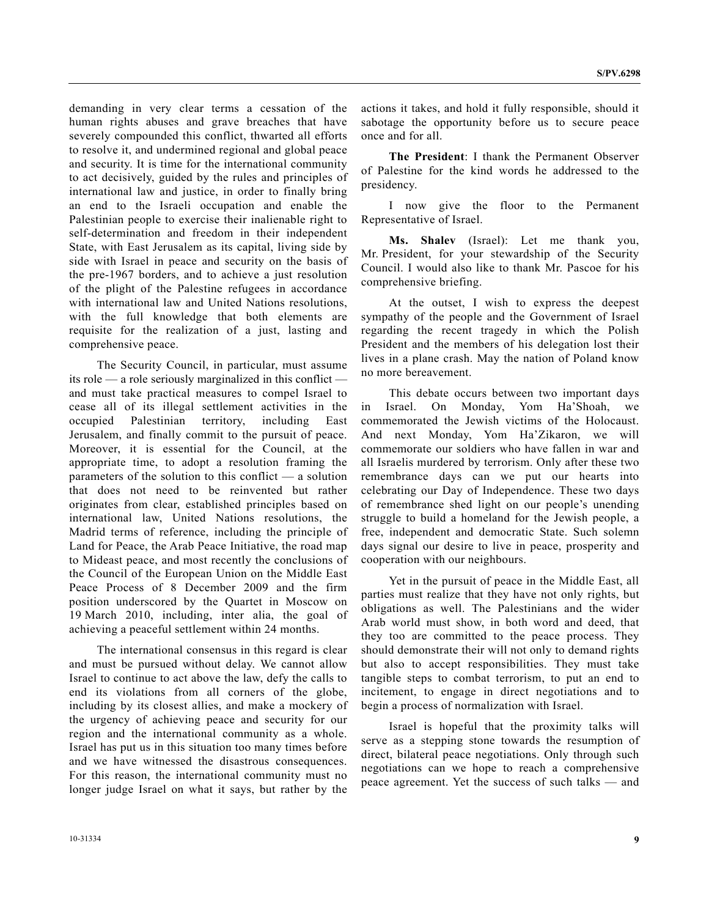demanding in very clear terms a cessation of the human rights abuses and grave breaches that have severely compounded this conflict, thwarted all efforts to resolve it, and undermined regional and global peace and security. It is time for the international community to act decisively, guided by the rules and principles of international law and justice, in order to finally bring an end to the Israeli occupation and enable the Palestinian people to exercise their inalienable right to self-determination and freedom in their independent State, with East Jerusalem as its capital, living side by side with Israel in peace and security on the basis of the pre-1967 borders, and to achieve a just resolution of the plight of the Palestine refugees in accordance with international law and United Nations resolutions, with the full knowledge that both elements are requisite for the realization of a just, lasting and comprehensive peace.

 The Security Council, in particular, must assume its role — a role seriously marginalized in this conflict and must take practical measures to compel Israel to cease all of its illegal settlement activities in the occupied Palestinian territory, including East Jerusalem, and finally commit to the pursuit of peace. Moreover, it is essential for the Council, at the appropriate time, to adopt a resolution framing the parameters of the solution to this conflict — a solution that does not need to be reinvented but rather originates from clear, established principles based on international law, United Nations resolutions, the Madrid terms of reference, including the principle of Land for Peace, the Arab Peace Initiative, the road map to Mideast peace, and most recently the conclusions of the Council of the European Union on the Middle East Peace Process of 8 December 2009 and the firm position underscored by the Quartet in Moscow on 19 March 2010, including, inter alia, the goal of achieving a peaceful settlement within 24 months.

 The international consensus in this regard is clear and must be pursued without delay. We cannot allow Israel to continue to act above the law, defy the calls to end its violations from all corners of the globe, including by its closest allies, and make a mockery of the urgency of achieving peace and security for our region and the international community as a whole. Israel has put us in this situation too many times before and we have witnessed the disastrous consequences. For this reason, the international community must no longer judge Israel on what it says, but rather by the actions it takes, and hold it fully responsible, should it sabotage the opportunity before us to secure peace once and for all.

 **The President**: I thank the Permanent Observer of Palestine for the kind words he addressed to the presidency.

 I now give the floor to the Permanent Representative of Israel.

**Ms. Shalev** (Israel): Let me thank you, Mr. President, for your stewardship of the Security Council. I would also like to thank Mr. Pascoe for his comprehensive briefing.

 At the outset, I wish to express the deepest sympathy of the people and the Government of Israel regarding the recent tragedy in which the Polish President and the members of his delegation lost their lives in a plane crash. May the nation of Poland know no more bereavement.

 This debate occurs between two important days in Israel. On Monday, Yom Ha'Shoah, we commemorated the Jewish victims of the Holocaust. And next Monday, Yom Ha'Zikaron, we will commemorate our soldiers who have fallen in war and all Israelis murdered by terrorism. Only after these two remembrance days can we put our hearts into celebrating our Day of Independence. These two days of remembrance shed light on our people's unending struggle to build a homeland for the Jewish people, a free, independent and democratic State. Such solemn days signal our desire to live in peace, prosperity and cooperation with our neighbours.

 Yet in the pursuit of peace in the Middle East, all parties must realize that they have not only rights, but obligations as well. The Palestinians and the wider Arab world must show, in both word and deed, that they too are committed to the peace process. They should demonstrate their will not only to demand rights but also to accept responsibilities. They must take tangible steps to combat terrorism, to put an end to incitement, to engage in direct negotiations and to begin a process of normalization with Israel.

 Israel is hopeful that the proximity talks will serve as a stepping stone towards the resumption of direct, bilateral peace negotiations. Only through such negotiations can we hope to reach a comprehensive peace agreement. Yet the success of such talks — and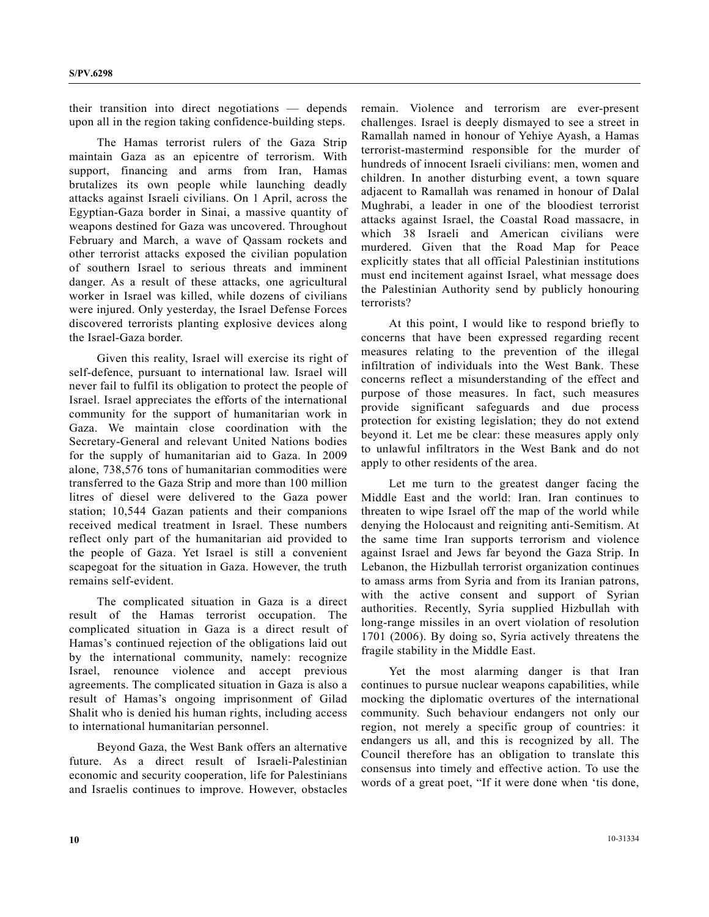their transition into direct negotiations — depends upon all in the region taking confidence-building steps.

 The Hamas terrorist rulers of the Gaza Strip maintain Gaza as an epicentre of terrorism. With support, financing and arms from Iran, Hamas brutalizes its own people while launching deadly attacks against Israeli civilians. On 1 April, across the Egyptian-Gaza border in Sinai, a massive quantity of weapons destined for Gaza was uncovered. Throughout February and March, a wave of Qassam rockets and other terrorist attacks exposed the civilian population of southern Israel to serious threats and imminent danger. As a result of these attacks, one agricultural worker in Israel was killed, while dozens of civilians were injured. Only yesterday, the Israel Defense Forces discovered terrorists planting explosive devices along the Israel-Gaza border.

 Given this reality, Israel will exercise its right of self-defence, pursuant to international law. Israel will never fail to fulfil its obligation to protect the people of Israel. Israel appreciates the efforts of the international community for the support of humanitarian work in Gaza. We maintain close coordination with the Secretary-General and relevant United Nations bodies for the supply of humanitarian aid to Gaza. In 2009 alone, 738,576 tons of humanitarian commodities were transferred to the Gaza Strip and more than 100 million litres of diesel were delivered to the Gaza power station; 10,544 Gazan patients and their companions received medical treatment in Israel. These numbers reflect only part of the humanitarian aid provided to the people of Gaza. Yet Israel is still a convenient scapegoat for the situation in Gaza. However, the truth remains self-evident.

 The complicated situation in Gaza is a direct result of the Hamas terrorist occupation. The complicated situation in Gaza is a direct result of Hamas's continued rejection of the obligations laid out by the international community, namely: recognize Israel, renounce violence and accept previous agreements. The complicated situation in Gaza is also a result of Hamas's ongoing imprisonment of Gilad Shalit who is denied his human rights, including access to international humanitarian personnel.

 Beyond Gaza, the West Bank offers an alternative future. As a direct result of Israeli-Palestinian economic and security cooperation, life for Palestinians and Israelis continues to improve. However, obstacles remain. Violence and terrorism are ever-present challenges. Israel is deeply dismayed to see a street in Ramallah named in honour of Yehiye Ayash, a Hamas terrorist-mastermind responsible for the murder of hundreds of innocent Israeli civilians: men, women and children. In another disturbing event, a town square adjacent to Ramallah was renamed in honour of Dalal Mughrabi, a leader in one of the bloodiest terrorist attacks against Israel, the Coastal Road massacre, in which 38 Israeli and American civilians were murdered. Given that the Road Map for Peace explicitly states that all official Palestinian institutions must end incitement against Israel, what message does the Palestinian Authority send by publicly honouring terrorists?

 At this point, I would like to respond briefly to concerns that have been expressed regarding recent measures relating to the prevention of the illegal infiltration of individuals into the West Bank. These concerns reflect a misunderstanding of the effect and purpose of those measures. In fact, such measures provide significant safeguards and due process protection for existing legislation; they do not extend beyond it. Let me be clear: these measures apply only to unlawful infiltrators in the West Bank and do not apply to other residents of the area.

 Let me turn to the greatest danger facing the Middle East and the world: Iran. Iran continues to threaten to wipe Israel off the map of the world while denying the Holocaust and reigniting anti-Semitism. At the same time Iran supports terrorism and violence against Israel and Jews far beyond the Gaza Strip. In Lebanon, the Hizbullah terrorist organization continues to amass arms from Syria and from its Iranian patrons, with the active consent and support of Syrian authorities. Recently, Syria supplied Hizbullah with long-range missiles in an overt violation of resolution 1701 (2006). By doing so, Syria actively threatens the fragile stability in the Middle East.

 Yet the most alarming danger is that Iran continues to pursue nuclear weapons capabilities, while mocking the diplomatic overtures of the international community. Such behaviour endangers not only our region, not merely a specific group of countries: it endangers us all, and this is recognized by all. The Council therefore has an obligation to translate this consensus into timely and effective action. To use the words of a great poet, "If it were done when 'tis done,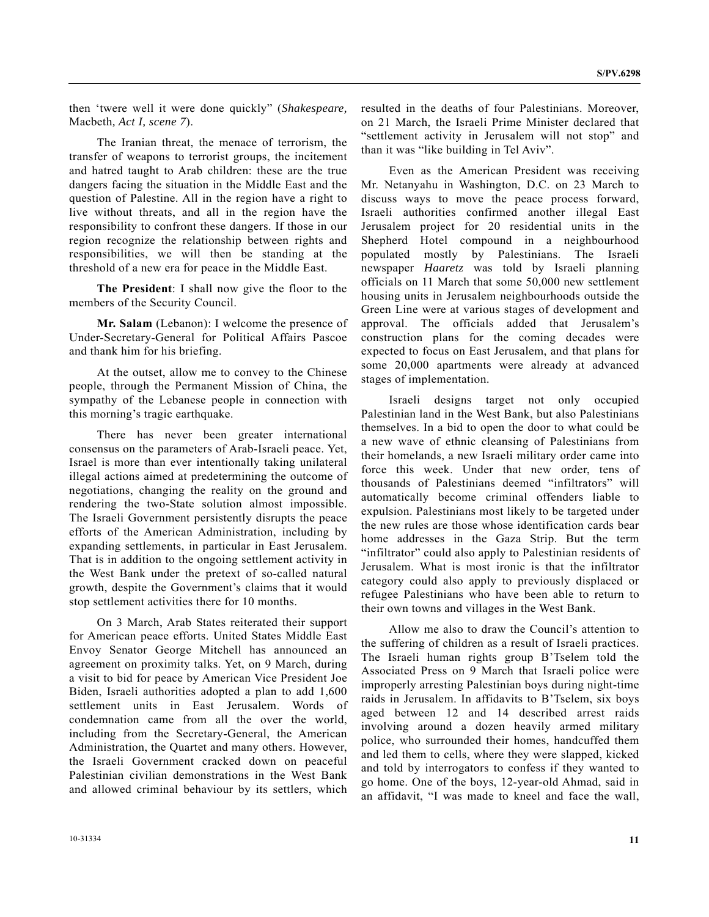then 'twere well it were done quickly" (*Shakespeare,*  Macbeth*, Act I, scene 7*).

 The Iranian threat, the menace of terrorism, the transfer of weapons to terrorist groups, the incitement and hatred taught to Arab children: these are the true dangers facing the situation in the Middle East and the question of Palestine. All in the region have a right to live without threats, and all in the region have the responsibility to confront these dangers. If those in our region recognize the relationship between rights and responsibilities, we will then be standing at the threshold of a new era for peace in the Middle East.

**The President**: I shall now give the floor to the members of the Security Council.

**Mr. Salam** (Lebanon): I welcome the presence of Under-Secretary-General for Political Affairs Pascoe and thank him for his briefing.

 At the outset, allow me to convey to the Chinese people, through the Permanent Mission of China, the sympathy of the Lebanese people in connection with this morning's tragic earthquake.

 There has never been greater international consensus on the parameters of Arab-Israeli peace. Yet, Israel is more than ever intentionally taking unilateral illegal actions aimed at predetermining the outcome of negotiations, changing the reality on the ground and rendering the two-State solution almost impossible. The Israeli Government persistently disrupts the peace efforts of the American Administration, including by expanding settlements, in particular in East Jerusalem. That is in addition to the ongoing settlement activity in the West Bank under the pretext of so-called natural growth, despite the Government's claims that it would stop settlement activities there for 10 months.

 On 3 March, Arab States reiterated their support for American peace efforts. United States Middle East Envoy Senator George Mitchell has announced an agreement on proximity talks. Yet, on 9 March, during a visit to bid for peace by American Vice President Joe Biden, Israeli authorities adopted a plan to add 1,600 settlement units in East Jerusalem. Words of condemnation came from all the over the world, including from the Secretary-General, the American Administration, the Quartet and many others. However, the Israeli Government cracked down on peaceful Palestinian civilian demonstrations in the West Bank and allowed criminal behaviour by its settlers, which

resulted in the deaths of four Palestinians. Moreover, on 21 March, the Israeli Prime Minister declared that "settlement activity in Jerusalem will not stop" and than it was "like building in Tel Aviv".

 Even as the American President was receiving Mr. Netanyahu in Washington, D.C. on 23 March to discuss ways to move the peace process forward, Israeli authorities confirmed another illegal East Jerusalem project for 20 residential units in the Shepherd Hotel compound in a neighbourhood populated mostly by Palestinians. The Israeli newspaper *Haaretz* was told by Israeli planning officials on 11 March that some 50,000 new settlement housing units in Jerusalem neighbourhoods outside the Green Line were at various stages of development and approval. The officials added that Jerusalem's construction plans for the coming decades were expected to focus on East Jerusalem, and that plans for some 20,000 apartments were already at advanced stages of implementation.

 Israeli designs target not only occupied Palestinian land in the West Bank, but also Palestinians themselves. In a bid to open the door to what could be a new wave of ethnic cleansing of Palestinians from their homelands, a new Israeli military order came into force this week. Under that new order, tens of thousands of Palestinians deemed "infiltrators" will automatically become criminal offenders liable to expulsion. Palestinians most likely to be targeted under the new rules are those whose identification cards bear home addresses in the Gaza Strip. But the term "infiltrator" could also apply to Palestinian residents of Jerusalem. What is most ironic is that the infiltrator category could also apply to previously displaced or refugee Palestinians who have been able to return to their own towns and villages in the West Bank.

 Allow me also to draw the Council's attention to the suffering of children as a result of Israeli practices. The Israeli human rights group B'Tselem told the Associated Press on 9 March that Israeli police were improperly arresting Palestinian boys during night-time raids in Jerusalem. In affidavits to B'Tselem, six boys aged between 12 and 14 described arrest raids involving around a dozen heavily armed military police, who surrounded their homes, handcuffed them and led them to cells, where they were slapped, kicked and told by interrogators to confess if they wanted to go home. One of the boys, 12-year-old Ahmad, said in an affidavit, "I was made to kneel and face the wall,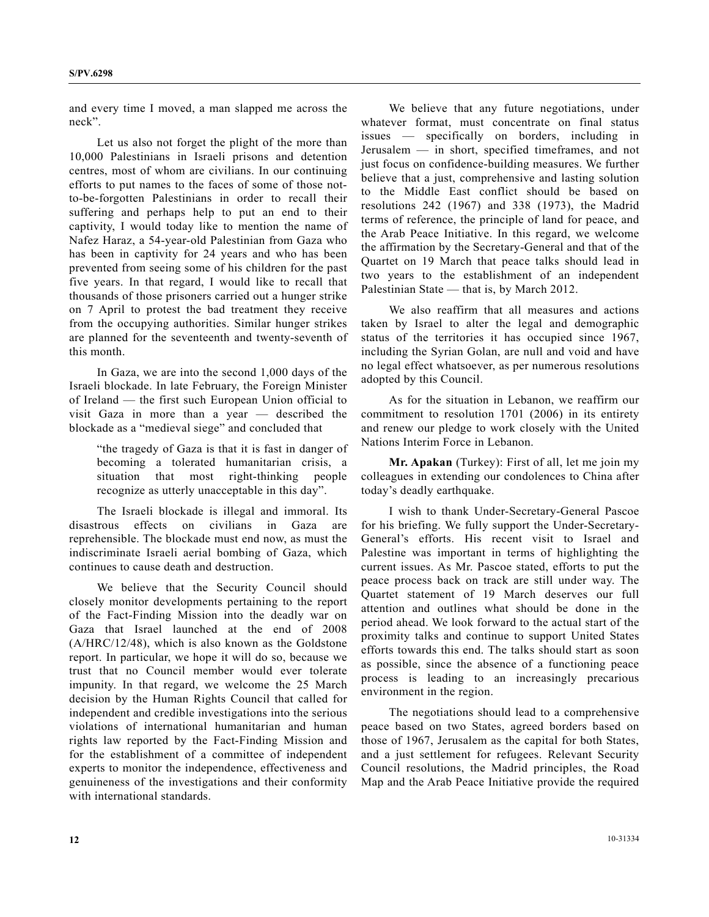and every time I moved, a man slapped me across the neck".

 Let us also not forget the plight of the more than 10,000 Palestinians in Israeli prisons and detention centres, most of whom are civilians. In our continuing efforts to put names to the faces of some of those notto-be-forgotten Palestinians in order to recall their suffering and perhaps help to put an end to their captivity, I would today like to mention the name of Nafez Haraz, a 54-year-old Palestinian from Gaza who has been in captivity for 24 years and who has been prevented from seeing some of his children for the past five years. In that regard, I would like to recall that thousands of those prisoners carried out a hunger strike on 7 April to protest the bad treatment they receive from the occupying authorities. Similar hunger strikes are planned for the seventeenth and twenty-seventh of this month.

 In Gaza, we are into the second 1,000 days of the Israeli blockade. In late February, the Foreign Minister of Ireland — the first such European Union official to visit Gaza in more than a year — described the blockade as a "medieval siege" and concluded that

"the tragedy of Gaza is that it is fast in danger of becoming a tolerated humanitarian crisis, a situation that most right-thinking people recognize as utterly unacceptable in this day".

 The Israeli blockade is illegal and immoral. Its disastrous effects on civilians in Gaza are reprehensible. The blockade must end now, as must the indiscriminate Israeli aerial bombing of Gaza, which continues to cause death and destruction.

 We believe that the Security Council should closely monitor developments pertaining to the report of the Fact-Finding Mission into the deadly war on Gaza that Israel launched at the end of 2008 (A/HRC/12/48), which is also known as the Goldstone report. In particular, we hope it will do so, because we trust that no Council member would ever tolerate impunity. In that regard, we welcome the 25 March decision by the Human Rights Council that called for independent and credible investigations into the serious violations of international humanitarian and human rights law reported by the Fact-Finding Mission and for the establishment of a committee of independent experts to monitor the independence, effectiveness and genuineness of the investigations and their conformity with international standards.

 We believe that any future negotiations, under whatever format, must concentrate on final status issues — specifically on borders, including in Jerusalem — in short, specified timeframes, and not just focus on confidence-building measures. We further believe that a just, comprehensive and lasting solution to the Middle East conflict should be based on resolutions 242 (1967) and 338 (1973), the Madrid terms of reference, the principle of land for peace, and the Arab Peace Initiative. In this regard, we welcome the affirmation by the Secretary-General and that of the Quartet on 19 March that peace talks should lead in two years to the establishment of an independent Palestinian State — that is, by March 2012.

 We also reaffirm that all measures and actions taken by Israel to alter the legal and demographic status of the territories it has occupied since 1967, including the Syrian Golan, are null and void and have no legal effect whatsoever, as per numerous resolutions adopted by this Council.

 As for the situation in Lebanon, we reaffirm our commitment to resolution 1701 (2006) in its entirety and renew our pledge to work closely with the United Nations Interim Force in Lebanon.

**Mr. Apakan** (Turkey): First of all, let me join my colleagues in extending our condolences to China after today's deadly earthquake.

 I wish to thank Under-Secretary-General Pascoe for his briefing. We fully support the Under-Secretary-General's efforts. His recent visit to Israel and Palestine was important in terms of highlighting the current issues. As Mr. Pascoe stated, efforts to put the peace process back on track are still under way. The Quartet statement of 19 March deserves our full attention and outlines what should be done in the period ahead. We look forward to the actual start of the proximity talks and continue to support United States efforts towards this end. The talks should start as soon as possible, since the absence of a functioning peace process is leading to an increasingly precarious environment in the region.

 The negotiations should lead to a comprehensive peace based on two States, agreed borders based on those of 1967, Jerusalem as the capital for both States, and a just settlement for refugees. Relevant Security Council resolutions, the Madrid principles, the Road Map and the Arab Peace Initiative provide the required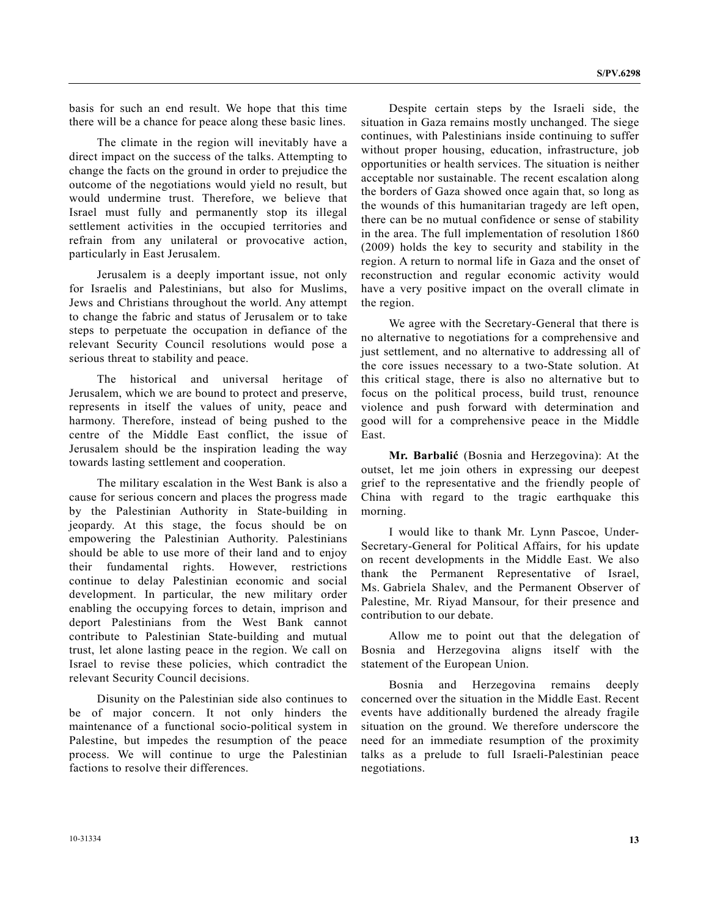basis for such an end result. We hope that this time there will be a chance for peace along these basic lines.

 The climate in the region will inevitably have a direct impact on the success of the talks. Attempting to change the facts on the ground in order to prejudice the outcome of the negotiations would yield no result, but would undermine trust. Therefore, we believe that Israel must fully and permanently stop its illegal settlement activities in the occupied territories and refrain from any unilateral or provocative action, particularly in East Jerusalem.

 Jerusalem is a deeply important issue, not only for Israelis and Palestinians, but also for Muslims, Jews and Christians throughout the world. Any attempt to change the fabric and status of Jerusalem or to take steps to perpetuate the occupation in defiance of the relevant Security Council resolutions would pose a serious threat to stability and peace.

 The historical and universal heritage of Jerusalem, which we are bound to protect and preserve, represents in itself the values of unity, peace and harmony. Therefore, instead of being pushed to the centre of the Middle East conflict, the issue of Jerusalem should be the inspiration leading the way towards lasting settlement and cooperation.

 The military escalation in the West Bank is also a cause for serious concern and places the progress made by the Palestinian Authority in State-building in jeopardy. At this stage, the focus should be on empowering the Palestinian Authority. Palestinians should be able to use more of their land and to enjoy their fundamental rights. However, restrictions continue to delay Palestinian economic and social development. In particular, the new military order enabling the occupying forces to detain, imprison and deport Palestinians from the West Bank cannot contribute to Palestinian State-building and mutual trust, let alone lasting peace in the region. We call on Israel to revise these policies, which contradict the relevant Security Council decisions.

 Disunity on the Palestinian side also continues to be of major concern. It not only hinders the maintenance of a functional socio-political system in Palestine, but impedes the resumption of the peace process. We will continue to urge the Palestinian factions to resolve their differences.

 Despite certain steps by the Israeli side, the situation in Gaza remains mostly unchanged. The siege continues, with Palestinians inside continuing to suffer without proper housing, education, infrastructure, job opportunities or health services. The situation is neither acceptable nor sustainable. The recent escalation along the borders of Gaza showed once again that, so long as the wounds of this humanitarian tragedy are left open, there can be no mutual confidence or sense of stability in the area. The full implementation of resolution 1860 (2009) holds the key to security and stability in the region. A return to normal life in Gaza and the onset of reconstruction and regular economic activity would have a very positive impact on the overall climate in the region.

 We agree with the Secretary-General that there is no alternative to negotiations for a comprehensive and just settlement, and no alternative to addressing all of the core issues necessary to a two-State solution. At this critical stage, there is also no alternative but to focus on the political process, build trust, renounce violence and push forward with determination and good will for a comprehensive peace in the Middle East.

**Mr. Barbalić** (Bosnia and Herzegovina): At the outset, let me join others in expressing our deepest grief to the representative and the friendly people of China with regard to the tragic earthquake this morning.

 I would like to thank Mr. Lynn Pascoe, Under-Secretary-General for Political Affairs, for his update on recent developments in the Middle East. We also thank the Permanent Representative of Israel, Ms. Gabriela Shalev, and the Permanent Observer of Palestine, Mr. Riyad Mansour, for their presence and contribution to our debate.

 Allow me to point out that the delegation of Bosnia and Herzegovina aligns itself with the statement of the European Union.

 Bosnia and Herzegovina remains deeply concerned over the situation in the Middle East. Recent events have additionally burdened the already fragile situation on the ground. We therefore underscore the need for an immediate resumption of the proximity talks as a prelude to full Israeli-Palestinian peace negotiations.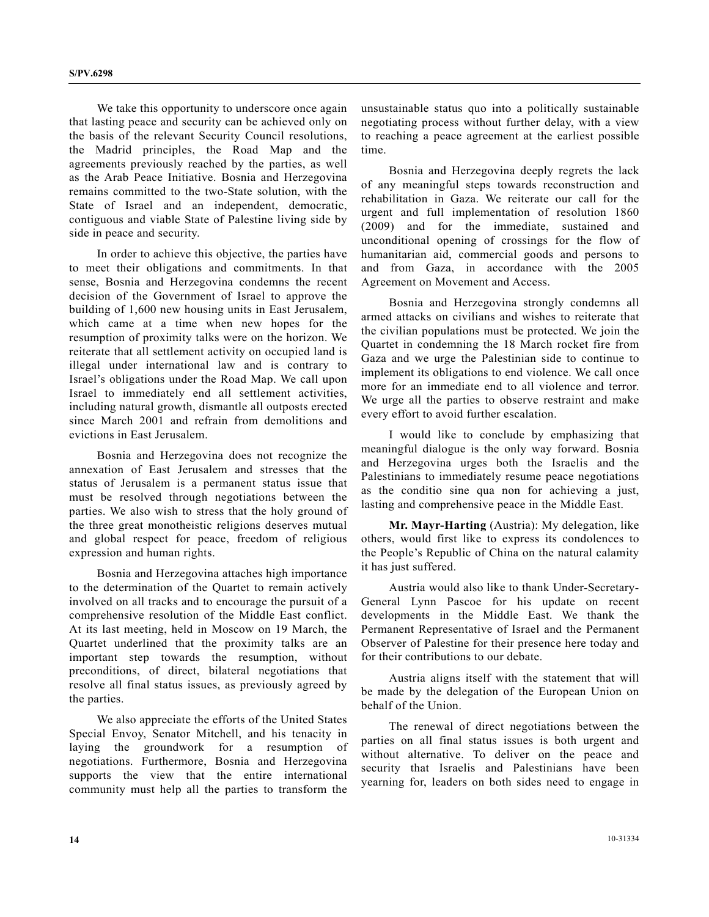We take this opportunity to underscore once again that lasting peace and security can be achieved only on the basis of the relevant Security Council resolutions, the Madrid principles, the Road Map and the agreements previously reached by the parties, as well as the Arab Peace Initiative. Bosnia and Herzegovina remains committed to the two-State solution, with the State of Israel and an independent, democratic, contiguous and viable State of Palestine living side by side in peace and security.

 In order to achieve this objective, the parties have to meet their obligations and commitments. In that sense, Bosnia and Herzegovina condemns the recent decision of the Government of Israel to approve the building of 1,600 new housing units in East Jerusalem, which came at a time when new hopes for the resumption of proximity talks were on the horizon. We reiterate that all settlement activity on occupied land is illegal under international law and is contrary to Israel's obligations under the Road Map. We call upon Israel to immediately end all settlement activities, including natural growth, dismantle all outposts erected since March 2001 and refrain from demolitions and evictions in East Jerusalem.

 Bosnia and Herzegovina does not recognize the annexation of East Jerusalem and stresses that the status of Jerusalem is a permanent status issue that must be resolved through negotiations between the parties. We also wish to stress that the holy ground of the three great monotheistic religions deserves mutual and global respect for peace, freedom of religious expression and human rights.

 Bosnia and Herzegovina attaches high importance to the determination of the Quartet to remain actively involved on all tracks and to encourage the pursuit of a comprehensive resolution of the Middle East conflict. At its last meeting, held in Moscow on 19 March, the Quartet underlined that the proximity talks are an important step towards the resumption, without preconditions, of direct, bilateral negotiations that resolve all final status issues, as previously agreed by the parties.

 We also appreciate the efforts of the United States Special Envoy, Senator Mitchell, and his tenacity in laying the groundwork for a resumption of negotiations. Furthermore, Bosnia and Herzegovina supports the view that the entire international community must help all the parties to transform the

unsustainable status quo into a politically sustainable negotiating process without further delay, with a view to reaching a peace agreement at the earliest possible time.

 Bosnia and Herzegovina deeply regrets the lack of any meaningful steps towards reconstruction and rehabilitation in Gaza. We reiterate our call for the urgent and full implementation of resolution 1860 (2009) and for the immediate, sustained and unconditional opening of crossings for the flow of humanitarian aid, commercial goods and persons to and from Gaza, in accordance with the 2005 Agreement on Movement and Access.

 Bosnia and Herzegovina strongly condemns all armed attacks on civilians and wishes to reiterate that the civilian populations must be protected. We join the Quartet in condemning the 18 March rocket fire from Gaza and we urge the Palestinian side to continue to implement its obligations to end violence. We call once more for an immediate end to all violence and terror. We urge all the parties to observe restraint and make every effort to avoid further escalation.

 I would like to conclude by emphasizing that meaningful dialogue is the only way forward. Bosnia and Herzegovina urges both the Israelis and the Palestinians to immediately resume peace negotiations as the conditio sine qua non for achieving a just, lasting and comprehensive peace in the Middle East.

**Mr. Mayr-Harting** (Austria): My delegation, like others, would first like to express its condolences to the People's Republic of China on the natural calamity it has just suffered.

 Austria would also like to thank Under-Secretary-General Lynn Pascoe for his update on recent developments in the Middle East. We thank the Permanent Representative of Israel and the Permanent Observer of Palestine for their presence here today and for their contributions to our debate.

 Austria aligns itself with the statement that will be made by the delegation of the European Union on behalf of the Union.

 The renewal of direct negotiations between the parties on all final status issues is both urgent and without alternative. To deliver on the peace and security that Israelis and Palestinians have been yearning for, leaders on both sides need to engage in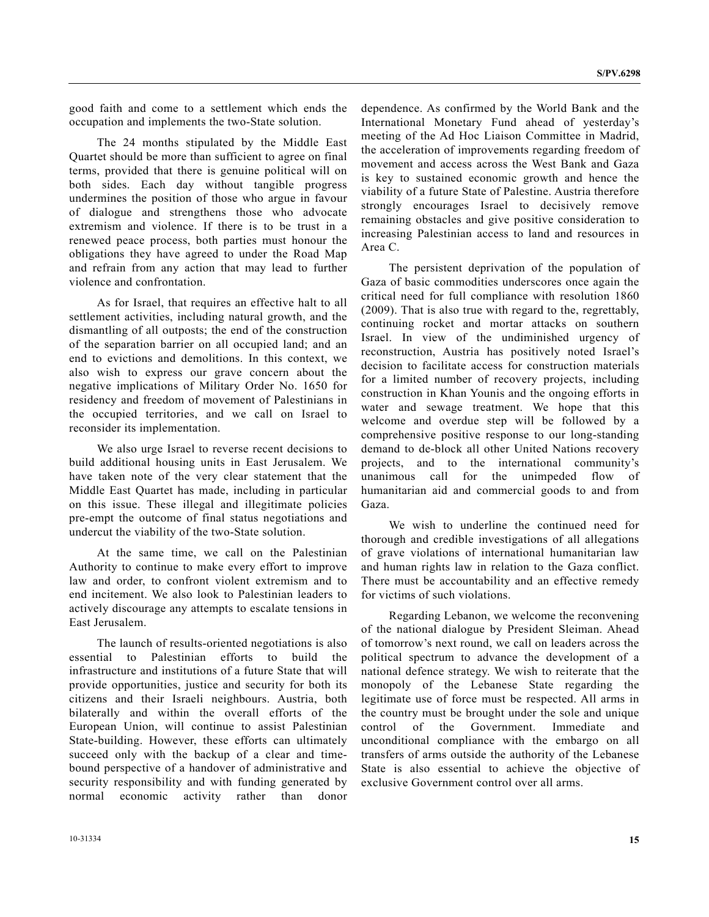good faith and come to a settlement which ends the occupation and implements the two-State solution.

 The 24 months stipulated by the Middle East Quartet should be more than sufficient to agree on final terms, provided that there is genuine political will on both sides. Each day without tangible progress undermines the position of those who argue in favour of dialogue and strengthens those who advocate extremism and violence. If there is to be trust in a renewed peace process, both parties must honour the obligations they have agreed to under the Road Map and refrain from any action that may lead to further violence and confrontation.

 As for Israel, that requires an effective halt to all settlement activities, including natural growth, and the dismantling of all outposts; the end of the construction of the separation barrier on all occupied land; and an end to evictions and demolitions. In this context, we also wish to express our grave concern about the negative implications of Military Order No. 1650 for residency and freedom of movement of Palestinians in the occupied territories, and we call on Israel to reconsider its implementation.

 We also urge Israel to reverse recent decisions to build additional housing units in East Jerusalem. We have taken note of the very clear statement that the Middle East Quartet has made, including in particular on this issue. These illegal and illegitimate policies pre-empt the outcome of final status negotiations and undercut the viability of the two-State solution.

 At the same time, we call on the Palestinian Authority to continue to make every effort to improve law and order, to confront violent extremism and to end incitement. We also look to Palestinian leaders to actively discourage any attempts to escalate tensions in East Jerusalem.

 The launch of results-oriented negotiations is also essential to Palestinian efforts to build the infrastructure and institutions of a future State that will provide opportunities, justice and security for both its citizens and their Israeli neighbours. Austria, both bilaterally and within the overall efforts of the European Union, will continue to assist Palestinian State-building. However, these efforts can ultimately succeed only with the backup of a clear and timebound perspective of a handover of administrative and security responsibility and with funding generated by normal economic activity rather than donor

strongly encourages Israel to decisively remove remaining obstacles and give positive consideration to increasing Palestinian access to land and resources in Area C. The persistent deprivation of the population of Gaza of basic commodities underscores once again the critical need for full compliance with resolution 1860 (2009). That is also true with regard to the, regrettably, continuing rocket and mortar attacks on southern

Israel. In view of the undiminished urgency of reconstruction, Austria has positively noted Israel's decision to facilitate access for construction materials for a limited number of recovery projects, including construction in Khan Younis and the ongoing efforts in water and sewage treatment. We hope that this welcome and overdue step will be followed by a comprehensive positive response to our long-standing demand to de-block all other United Nations recovery projects, and to the international community's unanimous call for the unimpeded flow of humanitarian aid and commercial goods to and from Gaza.

dependence. As confirmed by the World Bank and the International Monetary Fund ahead of yesterday's meeting of the Ad Hoc Liaison Committee in Madrid, the acceleration of improvements regarding freedom of movement and access across the West Bank and Gaza is key to sustained economic growth and hence the viability of a future State of Palestine. Austria therefore

 We wish to underline the continued need for thorough and credible investigations of all allegations of grave violations of international humanitarian law and human rights law in relation to the Gaza conflict. There must be accountability and an effective remedy for victims of such violations.

 Regarding Lebanon, we welcome the reconvening of the national dialogue by President Sleiman. Ahead of tomorrow's next round, we call on leaders across the political spectrum to advance the development of a national defence strategy. We wish to reiterate that the monopoly of the Lebanese State regarding the legitimate use of force must be respected. All arms in the country must be brought under the sole and unique control of the Government. Immediate and unconditional compliance with the embargo on all transfers of arms outside the authority of the Lebanese State is also essential to achieve the objective of exclusive Government control over all arms.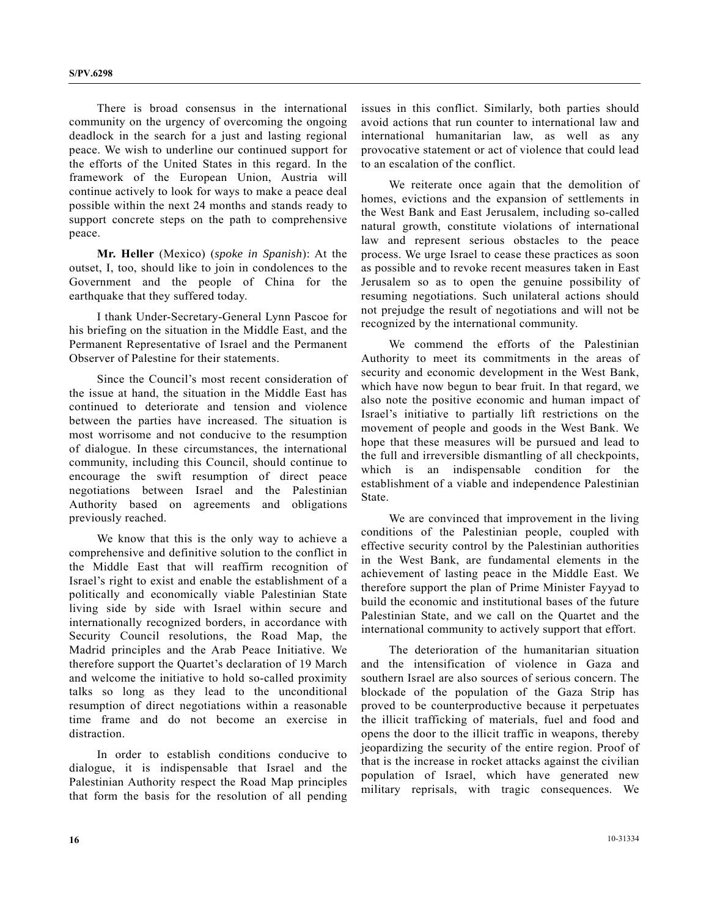There is broad consensus in the international community on the urgency of overcoming the ongoing deadlock in the search for a just and lasting regional peace. We wish to underline our continued support for the efforts of the United States in this regard. In the framework of the European Union, Austria will continue actively to look for ways to make a peace deal possible within the next 24 months and stands ready to support concrete steps on the path to comprehensive peace.

**Mr. Heller** (Mexico) (*spoke in Spanish*): At the outset, I, too, should like to join in condolences to the Government and the people of China for the earthquake that they suffered today.

 I thank Under-Secretary-General Lynn Pascoe for his briefing on the situation in the Middle East, and the Permanent Representative of Israel and the Permanent Observer of Palestine for their statements.

 Since the Council's most recent consideration of the issue at hand, the situation in the Middle East has continued to deteriorate and tension and violence between the parties have increased. The situation is most worrisome and not conducive to the resumption of dialogue. In these circumstances, the international community, including this Council, should continue to encourage the swift resumption of direct peace negotiations between Israel and the Palestinian Authority based on agreements and obligations previously reached.

 We know that this is the only way to achieve a comprehensive and definitive solution to the conflict in the Middle East that will reaffirm recognition of Israel's right to exist and enable the establishment of a politically and economically viable Palestinian State living side by side with Israel within secure and internationally recognized borders, in accordance with Security Council resolutions, the Road Map, the Madrid principles and the Arab Peace Initiative. We therefore support the Quartet's declaration of 19 March and welcome the initiative to hold so-called proximity talks so long as they lead to the unconditional resumption of direct negotiations within a reasonable time frame and do not become an exercise in distraction.

 In order to establish conditions conducive to dialogue, it is indispensable that Israel and the Palestinian Authority respect the Road Map principles that form the basis for the resolution of all pending

issues in this conflict. Similarly, both parties should avoid actions that run counter to international law and international humanitarian law, as well as any provocative statement or act of violence that could lead to an escalation of the conflict.

 We reiterate once again that the demolition of homes, evictions and the expansion of settlements in the West Bank and East Jerusalem, including so-called natural growth, constitute violations of international law and represent serious obstacles to the peace process. We urge Israel to cease these practices as soon as possible and to revoke recent measures taken in East Jerusalem so as to open the genuine possibility of resuming negotiations. Such unilateral actions should not prejudge the result of negotiations and will not be recognized by the international community.

 We commend the efforts of the Palestinian Authority to meet its commitments in the areas of security and economic development in the West Bank, which have now begun to bear fruit. In that regard, we also note the positive economic and human impact of Israel's initiative to partially lift restrictions on the movement of people and goods in the West Bank. We hope that these measures will be pursued and lead to the full and irreversible dismantling of all checkpoints, which is an indispensable condition for the establishment of a viable and independence Palestinian State.

 We are convinced that improvement in the living conditions of the Palestinian people, coupled with effective security control by the Palestinian authorities in the West Bank, are fundamental elements in the achievement of lasting peace in the Middle East. We therefore support the plan of Prime Minister Fayyad to build the economic and institutional bases of the future Palestinian State, and we call on the Quartet and the international community to actively support that effort.

 The deterioration of the humanitarian situation and the intensification of violence in Gaza and southern Israel are also sources of serious concern. The blockade of the population of the Gaza Strip has proved to be counterproductive because it perpetuates the illicit trafficking of materials, fuel and food and opens the door to the illicit traffic in weapons, thereby jeopardizing the security of the entire region. Proof of that is the increase in rocket attacks against the civilian population of Israel, which have generated new military reprisals, with tragic consequences. We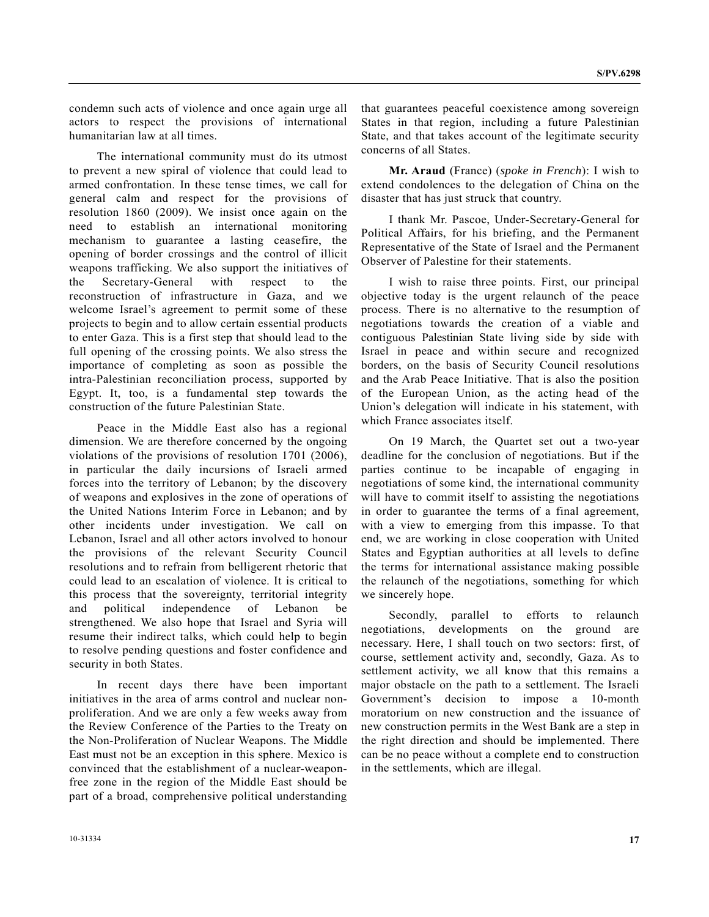condemn such acts of violence and once again urge all actors to respect the provisions of international humanitarian law at all times.

 The international community must do its utmost to prevent a new spiral of violence that could lead to armed confrontation. In these tense times, we call for general calm and respect for the provisions of resolution 1860 (2009). We insist once again on the need to establish an international monitoring mechanism to guarantee a lasting ceasefire, the opening of border crossings and the control of illicit weapons trafficking. We also support the initiatives of the Secretary-General with respect to the reconstruction of infrastructure in Gaza, and we welcome Israel's agreement to permit some of these projects to begin and to allow certain essential products to enter Gaza. This is a first step that should lead to the full opening of the crossing points. We also stress the importance of completing as soon as possible the intra-Palestinian reconciliation process, supported by Egypt. It, too, is a fundamental step towards the construction of the future Palestinian State.

 Peace in the Middle East also has a regional dimension. We are therefore concerned by the ongoing violations of the provisions of resolution 1701 (2006), in particular the daily incursions of Israeli armed forces into the territory of Lebanon; by the discovery of weapons and explosives in the zone of operations of the United Nations Interim Force in Lebanon; and by other incidents under investigation. We call on Lebanon, Israel and all other actors involved to honour the provisions of the relevant Security Council resolutions and to refrain from belligerent rhetoric that could lead to an escalation of violence. It is critical to this process that the sovereignty, territorial integrity and political independence of Lebanon be strengthened. We also hope that Israel and Syria will resume their indirect talks, which could help to begin to resolve pending questions and foster confidence and security in both States.

 In recent days there have been important initiatives in the area of arms control and nuclear nonproliferation. And we are only a few weeks away from the Review Conference of the Parties to the Treaty on the Non-Proliferation of Nuclear Weapons. The Middle East must not be an exception in this sphere. Mexico is convinced that the establishment of a nuclear-weaponfree zone in the region of the Middle East should be part of a broad, comprehensive political understanding

that guarantees peaceful coexistence among sovereign States in that region, including a future Palestinian State, and that takes account of the legitimate security concerns of all States.

**Mr. Araud** (France) (*spoke in French*): I wish to extend condolences to the delegation of China on the disaster that has just struck that country.

 I thank Mr. Pascoe, Under-Secretary-General for Political Affairs, for his briefing, and the Permanent Representative of the State of Israel and the Permanent Observer of Palestine for their statements.

 I wish to raise three points. First, our principal objective today is the urgent relaunch of the peace process. There is no alternative to the resumption of negotiations towards the creation of a viable and contiguous Palestinian State living side by side with Israel in peace and within secure and recognized borders, on the basis of Security Council resolutions and the Arab Peace Initiative. That is also the position of the European Union, as the acting head of the Union's delegation will indicate in his statement, with which France associates itself.

 On 19 March, the Quartet set out a two-year deadline for the conclusion of negotiations. But if the parties continue to be incapable of engaging in negotiations of some kind, the international community will have to commit itself to assisting the negotiations in order to guarantee the terms of a final agreement, with a view to emerging from this impasse. To that end, we are working in close cooperation with United States and Egyptian authorities at all levels to define the terms for international assistance making possible the relaunch of the negotiations, something for which we sincerely hope.

 Secondly, parallel to efforts to relaunch negotiations, developments on the ground are necessary. Here, I shall touch on two sectors: first, of course, settlement activity and, secondly, Gaza. As to settlement activity, we all know that this remains a major obstacle on the path to a settlement. The Israeli Government's decision to impose a 10-month moratorium on new construction and the issuance of new construction permits in the West Bank are a step in the right direction and should be implemented. There can be no peace without a complete end to construction in the settlements, which are illegal.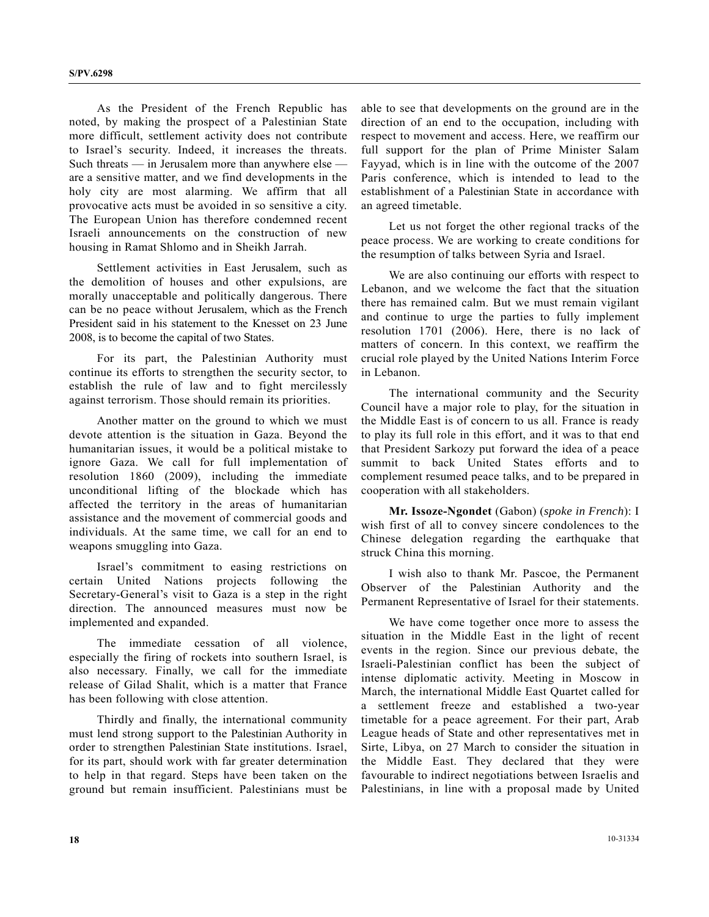As the President of the French Republic has noted, by making the prospect of a Palestinian State more difficult, settlement activity does not contribute to Israel's security. Indeed, it increases the threats. Such threats — in Jerusalem more than anywhere else are a sensitive matter, and we find developments in the holy city are most alarming. We affirm that all provocative acts must be avoided in so sensitive a city. The European Union has therefore condemned recent Israeli announcements on the construction of new housing in Ramat Shlomo and in Sheikh Jarrah.

 Settlement activities in East Jerusalem, such as the demolition of houses and other expulsions, are morally unacceptable and politically dangerous. There can be no peace without Jerusalem, which as the French President said in his statement to the Knesset on 23 June 2008, is to become the capital of two States.

 For its part, the Palestinian Authority must continue its efforts to strengthen the security sector, to establish the rule of law and to fight mercilessly against terrorism. Those should remain its priorities.

 Another matter on the ground to which we must devote attention is the situation in Gaza. Beyond the humanitarian issues, it would be a political mistake to ignore Gaza. We call for full implementation of resolution 1860 (2009), including the immediate unconditional lifting of the blockade which has affected the territory in the areas of humanitarian assistance and the movement of commercial goods and individuals. At the same time, we call for an end to weapons smuggling into Gaza.

 Israel's commitment to easing restrictions on certain United Nations projects following the Secretary-General's visit to Gaza is a step in the right direction. The announced measures must now be implemented and expanded.

 The immediate cessation of all violence, especially the firing of rockets into southern Israel, is also necessary. Finally, we call for the immediate release of Gilad Shalit, which is a matter that France has been following with close attention.

 Thirdly and finally, the international community must lend strong support to the Palestinian Authority in order to strengthen Palestinian State institutions. Israel, for its part, should work with far greater determination to help in that regard. Steps have been taken on the ground but remain insufficient. Palestinians must be

able to see that developments on the ground are in the direction of an end to the occupation, including with respect to movement and access. Here, we reaffirm our full support for the plan of Prime Minister Salam Fayyad, which is in line with the outcome of the 2007 Paris conference, which is intended to lead to the establishment of a Palestinian State in accordance with an agreed timetable.

 Let us not forget the other regional tracks of the peace process. We are working to create conditions for the resumption of talks between Syria and Israel.

 We are also continuing our efforts with respect to Lebanon, and we welcome the fact that the situation there has remained calm. But we must remain vigilant and continue to urge the parties to fully implement resolution 1701 (2006). Here, there is no lack of matters of concern. In this context, we reaffirm the crucial role played by the United Nations Interim Force in Lebanon.

 The international community and the Security Council have a major role to play, for the situation in the Middle East is of concern to us all. France is ready to play its full role in this effort, and it was to that end that President Sarkozy put forward the idea of a peace summit to back United States efforts and to complement resumed peace talks, and to be prepared in cooperation with all stakeholders.

**Mr. Issoze-Ngondet** (Gabon) (*spoke in French*): I wish first of all to convey sincere condolences to the Chinese delegation regarding the earthquake that struck China this morning.

 I wish also to thank Mr. Pascoe, the Permanent Observer of the Palestinian Authority and the Permanent Representative of Israel for their statements.

 We have come together once more to assess the situation in the Middle East in the light of recent events in the region. Since our previous debate, the Israeli-Palestinian conflict has been the subject of intense diplomatic activity. Meeting in Moscow in March, the international Middle East Quartet called for a settlement freeze and established a two-year timetable for a peace agreement. For their part, Arab League heads of State and other representatives met in Sirte, Libya, on 27 March to consider the situation in the Middle East. They declared that they were favourable to indirect negotiations between Israelis and Palestinians, in line with a proposal made by United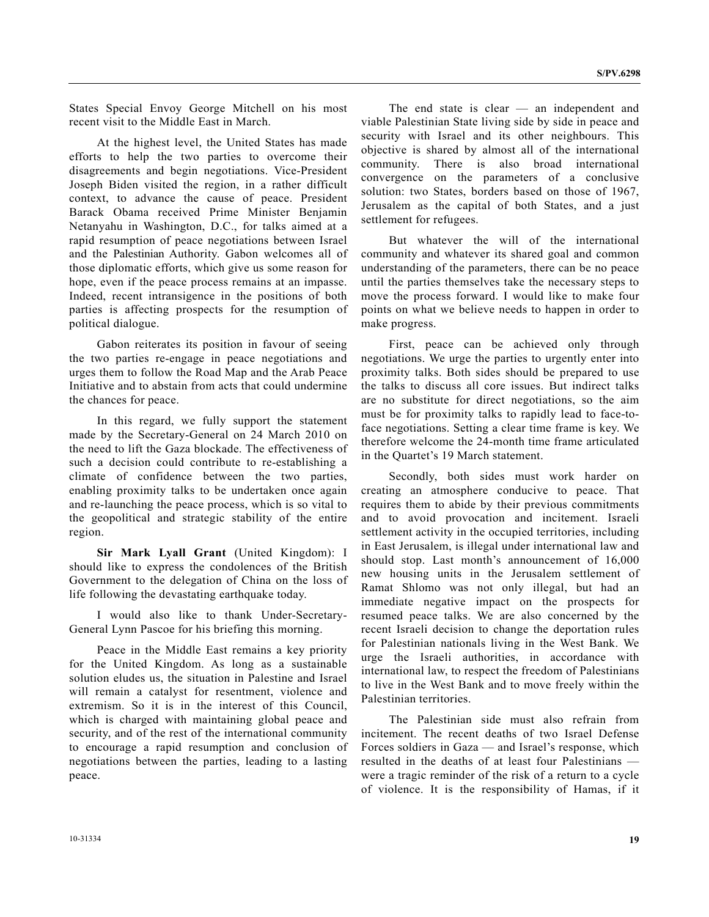States Special Envoy George Mitchell on his most recent visit to the Middle East in March.

 At the highest level, the United States has made efforts to help the two parties to overcome their disagreements and begin negotiations. Vice-President Joseph Biden visited the region, in a rather difficult context, to advance the cause of peace. President Barack Obama received Prime Minister Benjamin Netanyahu in Washington, D.C., for talks aimed at a rapid resumption of peace negotiations between Israel and the Palestinian Authority. Gabon welcomes all of those diplomatic efforts, which give us some reason for hope, even if the peace process remains at an impasse. Indeed, recent intransigence in the positions of both parties is affecting prospects for the resumption of political dialogue.

 Gabon reiterates its position in favour of seeing the two parties re-engage in peace negotiations and urges them to follow the Road Map and the Arab Peace Initiative and to abstain from acts that could undermine the chances for peace.

 In this regard, we fully support the statement made by the Secretary-General on 24 March 2010 on the need to lift the Gaza blockade. The effectiveness of such a decision could contribute to re-establishing a climate of confidence between the two parties, enabling proximity talks to be undertaken once again and re-launching the peace process, which is so vital to the geopolitical and strategic stability of the entire region.

**Sir Mark Lyall Grant** (United Kingdom): I should like to express the condolences of the British Government to the delegation of China on the loss of life following the devastating earthquake today.

 I would also like to thank Under-Secretary-General Lynn Pascoe for his briefing this morning.

 Peace in the Middle East remains a key priority for the United Kingdom. As long as a sustainable solution eludes us, the situation in Palestine and Israel will remain a catalyst for resentment, violence and extremism. So it is in the interest of this Council, which is charged with maintaining global peace and security, and of the rest of the international community to encourage a rapid resumption and conclusion of negotiations between the parties, leading to a lasting peace.

 The end state is clear — an independent and viable Palestinian State living side by side in peace and security with Israel and its other neighbours. This objective is shared by almost all of the international community. There is also broad international convergence on the parameters of a conclusive solution: two States, borders based on those of 1967, Jerusalem as the capital of both States, and a just settlement for refugees.

 But whatever the will of the international community and whatever its shared goal and common understanding of the parameters, there can be no peace until the parties themselves take the necessary steps to move the process forward. I would like to make four points on what we believe needs to happen in order to make progress.

 First, peace can be achieved only through negotiations. We urge the parties to urgently enter into proximity talks. Both sides should be prepared to use the talks to discuss all core issues. But indirect talks are no substitute for direct negotiations, so the aim must be for proximity talks to rapidly lead to face-toface negotiations. Setting a clear time frame is key. We therefore welcome the 24-month time frame articulated in the Quartet's 19 March statement.

 Secondly, both sides must work harder on creating an atmosphere conducive to peace. That requires them to abide by their previous commitments and to avoid provocation and incitement. Israeli settlement activity in the occupied territories, including in East Jerusalem, is illegal under international law and should stop. Last month's announcement of 16,000 new housing units in the Jerusalem settlement of Ramat Shlomo was not only illegal, but had an immediate negative impact on the prospects for resumed peace talks. We are also concerned by the recent Israeli decision to change the deportation rules for Palestinian nationals living in the West Bank. We urge the Israeli authorities, in accordance with international law, to respect the freedom of Palestinians to live in the West Bank and to move freely within the Palestinian territories.

 The Palestinian side must also refrain from incitement. The recent deaths of two Israel Defense Forces soldiers in Gaza — and Israel's response, which resulted in the deaths of at least four Palestinians were a tragic reminder of the risk of a return to a cycle of violence. It is the responsibility of Hamas, if it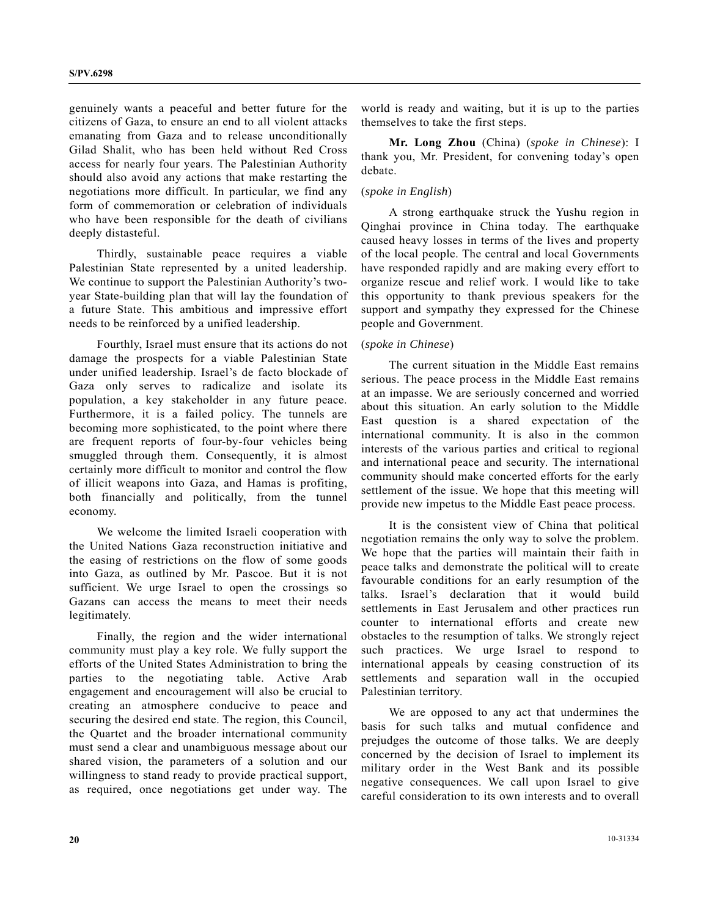genuinely wants a peaceful and better future for the citizens of Gaza, to ensure an end to all violent attacks emanating from Gaza and to release unconditionally Gilad Shalit, who has been held without Red Cross access for nearly four years. The Palestinian Authority should also avoid any actions that make restarting the negotiations more difficult. In particular, we find any form of commemoration or celebration of individuals who have been responsible for the death of civilians deeply distasteful.

 Thirdly, sustainable peace requires a viable Palestinian State represented by a united leadership. We continue to support the Palestinian Authority's twoyear State-building plan that will lay the foundation of a future State. This ambitious and impressive effort needs to be reinforced by a unified leadership.

 Fourthly, Israel must ensure that its actions do not damage the prospects for a viable Palestinian State under unified leadership. Israel's de facto blockade of Gaza only serves to radicalize and isolate its population, a key stakeholder in any future peace. Furthermore, it is a failed policy. The tunnels are becoming more sophisticated, to the point where there are frequent reports of four-by-four vehicles being smuggled through them. Consequently, it is almost certainly more difficult to monitor and control the flow of illicit weapons into Gaza, and Hamas is profiting, both financially and politically, from the tunnel economy.

 We welcome the limited Israeli cooperation with the United Nations Gaza reconstruction initiative and the easing of restrictions on the flow of some goods into Gaza, as outlined by Mr. Pascoe. But it is not sufficient. We urge Israel to open the crossings so Gazans can access the means to meet their needs legitimately.

 Finally, the region and the wider international community must play a key role. We fully support the efforts of the United States Administration to bring the parties to the negotiating table. Active Arab engagement and encouragement will also be crucial to creating an atmosphere conducive to peace and securing the desired end state. The region, this Council, the Quartet and the broader international community must send a clear and unambiguous message about our shared vision, the parameters of a solution and our willingness to stand ready to provide practical support, as required, once negotiations get under way. The world is ready and waiting, but it is up to the parties themselves to take the first steps.

 **Mr. Long Zhou** (China) (*spoke in Chinese*): I thank you, Mr. President, for convening today's open debate.

# (*spoke in English*)

 A strong earthquake struck the Yushu region in Qinghai province in China today. The earthquake caused heavy losses in terms of the lives and property of the local people. The central and local Governments have responded rapidly and are making every effort to organize rescue and relief work. I would like to take this opportunity to thank previous speakers for the support and sympathy they expressed for the Chinese people and Government.

## (*spoke in Chinese*)

 The current situation in the Middle East remains serious. The peace process in the Middle East remains at an impasse. We are seriously concerned and worried about this situation. An early solution to the Middle East question is a shared expectation of the international community. It is also in the common interests of the various parties and critical to regional and international peace and security. The international community should make concerted efforts for the early settlement of the issue. We hope that this meeting will provide new impetus to the Middle East peace process.

 It is the consistent view of China that political negotiation remains the only way to solve the problem. We hope that the parties will maintain their faith in peace talks and demonstrate the political will to create favourable conditions for an early resumption of the talks. Israel's declaration that it would build settlements in East Jerusalem and other practices run counter to international efforts and create new obstacles to the resumption of talks. We strongly reject such practices. We urge Israel to respond to international appeals by ceasing construction of its settlements and separation wall in the occupied Palestinian territory.

 We are opposed to any act that undermines the basis for such talks and mutual confidence and prejudges the outcome of those talks. We are deeply concerned by the decision of Israel to implement its military order in the West Bank and its possible negative consequences. We call upon Israel to give careful consideration to its own interests and to overall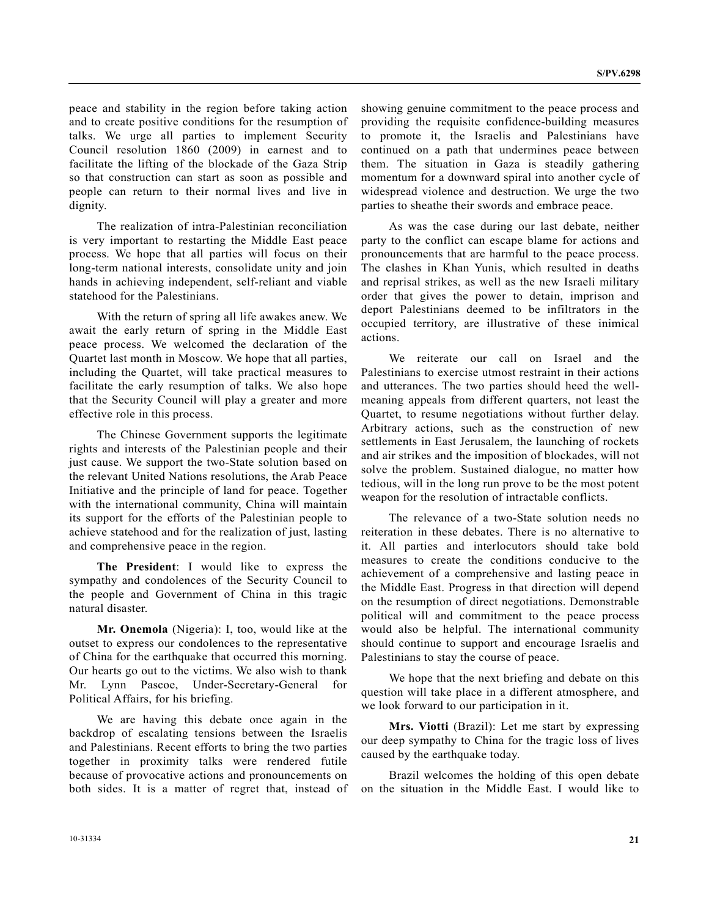peace and stability in the region before taking action and to create positive conditions for the resumption of talks. We urge all parties to implement Security Council resolution 1860 (2009) in earnest and to facilitate the lifting of the blockade of the Gaza Strip so that construction can start as soon as possible and people can return to their normal lives and live in dignity.

 The realization of intra-Palestinian reconciliation is very important to restarting the Middle East peace process. We hope that all parties will focus on their long-term national interests, consolidate unity and join hands in achieving independent, self-reliant and viable statehood for the Palestinians.

 With the return of spring all life awakes anew. We await the early return of spring in the Middle East peace process. We welcomed the declaration of the Quartet last month in Moscow. We hope that all parties, including the Quartet, will take practical measures to facilitate the early resumption of talks. We also hope that the Security Council will play a greater and more effective role in this process.

 The Chinese Government supports the legitimate rights and interests of the Palestinian people and their just cause. We support the two-State solution based on the relevant United Nations resolutions, the Arab Peace Initiative and the principle of land for peace. Together with the international community, China will maintain its support for the efforts of the Palestinian people to achieve statehood and for the realization of just, lasting and comprehensive peace in the region.

 **The President**: I would like to express the sympathy and condolences of the Security Council to the people and Government of China in this tragic natural disaster.

 **Mr. Onemola** (Nigeria): I, too, would like at the outset to express our condolences to the representative of China for the earthquake that occurred this morning. Our hearts go out to the victims. We also wish to thank Mr. Lynn Pascoe, Under-Secretary-General for Political Affairs, for his briefing.

 We are having this debate once again in the backdrop of escalating tensions between the Israelis and Palestinians. Recent efforts to bring the two parties together in proximity talks were rendered futile because of provocative actions and pronouncements on both sides. It is a matter of regret that, instead of showing genuine commitment to the peace process and providing the requisite confidence-building measures to promote it, the Israelis and Palestinians have continued on a path that undermines peace between them. The situation in Gaza is steadily gathering momentum for a downward spiral into another cycle of widespread violence and destruction. We urge the two parties to sheathe their swords and embrace peace.

 As was the case during our last debate, neither party to the conflict can escape blame for actions and pronouncements that are harmful to the peace process. The clashes in Khan Yunis, which resulted in deaths and reprisal strikes, as well as the new Israeli military order that gives the power to detain, imprison and deport Palestinians deemed to be infiltrators in the occupied territory, are illustrative of these inimical actions.

 We reiterate our call on Israel and the Palestinians to exercise utmost restraint in their actions and utterances. The two parties should heed the wellmeaning appeals from different quarters, not least the Quartet, to resume negotiations without further delay. Arbitrary actions, such as the construction of new settlements in East Jerusalem, the launching of rockets and air strikes and the imposition of blockades, will not solve the problem. Sustained dialogue, no matter how tedious, will in the long run prove to be the most potent weapon for the resolution of intractable conflicts.

 The relevance of a two-State solution needs no reiteration in these debates. There is no alternative to it. All parties and interlocutors should take bold measures to create the conditions conducive to the achievement of a comprehensive and lasting peace in the Middle East. Progress in that direction will depend on the resumption of direct negotiations. Demonstrable political will and commitment to the peace process would also be helpful. The international community should continue to support and encourage Israelis and Palestinians to stay the course of peace.

 We hope that the next briefing and debate on this question will take place in a different atmosphere, and we look forward to our participation in it.

**Mrs. Viotti** (Brazil): Let me start by expressing our deep sympathy to China for the tragic loss of lives caused by the earthquake today.

 Brazil welcomes the holding of this open debate on the situation in the Middle East. I would like to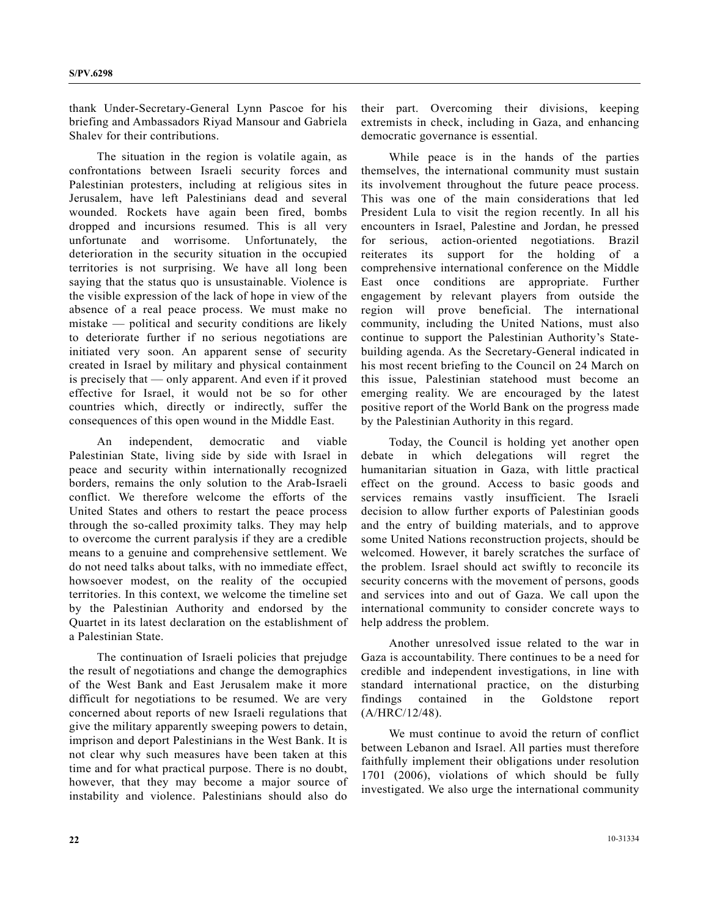thank Under-Secretary-General Lynn Pascoe for his briefing and Ambassadors Riyad Mansour and Gabriela Shalev for their contributions.

 The situation in the region is volatile again, as confrontations between Israeli security forces and Palestinian protesters, including at religious sites in Jerusalem, have left Palestinians dead and several wounded. Rockets have again been fired, bombs dropped and incursions resumed. This is all very unfortunate and worrisome. Unfortunately, the deterioration in the security situation in the occupied territories is not surprising. We have all long been saying that the status quo is unsustainable. Violence is the visible expression of the lack of hope in view of the absence of a real peace process. We must make no mistake — political and security conditions are likely to deteriorate further if no serious negotiations are initiated very soon. An apparent sense of security created in Israel by military and physical containment is precisely that — only apparent. And even if it proved effective for Israel, it would not be so for other countries which, directly or indirectly, suffer the consequences of this open wound in the Middle East.

 An independent, democratic and viable Palestinian State, living side by side with Israel in peace and security within internationally recognized borders, remains the only solution to the Arab-Israeli conflict. We therefore welcome the efforts of the United States and others to restart the peace process through the so-called proximity talks. They may help to overcome the current paralysis if they are a credible means to a genuine and comprehensive settlement. We do not need talks about talks, with no immediate effect, howsoever modest, on the reality of the occupied territories. In this context, we welcome the timeline set by the Palestinian Authority and endorsed by the Quartet in its latest declaration on the establishment of a Palestinian State.

 The continuation of Israeli policies that prejudge the result of negotiations and change the demographics of the West Bank and East Jerusalem make it more difficult for negotiations to be resumed. We are very concerned about reports of new Israeli regulations that give the military apparently sweeping powers to detain, imprison and deport Palestinians in the West Bank. It is not clear why such measures have been taken at this time and for what practical purpose. There is no doubt, however, that they may become a major source of instability and violence. Palestinians should also do

their part. Overcoming their divisions, keeping extremists in check, including in Gaza, and enhancing democratic governance is essential.

 While peace is in the hands of the parties themselves, the international community must sustain its involvement throughout the future peace process. This was one of the main considerations that led President Lula to visit the region recently. In all his encounters in Israel, Palestine and Jordan, he pressed for serious, action-oriented negotiations. Brazil reiterates its support for the holding of a comprehensive international conference on the Middle East once conditions are appropriate. Further engagement by relevant players from outside the region will prove beneficial. The international community, including the United Nations, must also continue to support the Palestinian Authority's Statebuilding agenda. As the Secretary-General indicated in his most recent briefing to the Council on 24 March on this issue, Palestinian statehood must become an emerging reality. We are encouraged by the latest positive report of the World Bank on the progress made by the Palestinian Authority in this regard.

 Today, the Council is holding yet another open debate in which delegations will regret the humanitarian situation in Gaza, with little practical effect on the ground. Access to basic goods and services remains vastly insufficient. The Israeli decision to allow further exports of Palestinian goods and the entry of building materials, and to approve some United Nations reconstruction projects, should be welcomed. However, it barely scratches the surface of the problem. Israel should act swiftly to reconcile its security concerns with the movement of persons, goods and services into and out of Gaza. We call upon the international community to consider concrete ways to help address the problem.

 Another unresolved issue related to the war in Gaza is accountability. There continues to be a need for credible and independent investigations, in line with standard international practice, on the disturbing findings contained in the Goldstone report (A/HRC/12/48).

 We must continue to avoid the return of conflict between Lebanon and Israel. All parties must therefore faithfully implement their obligations under resolution 1701 (2006), violations of which should be fully investigated. We also urge the international community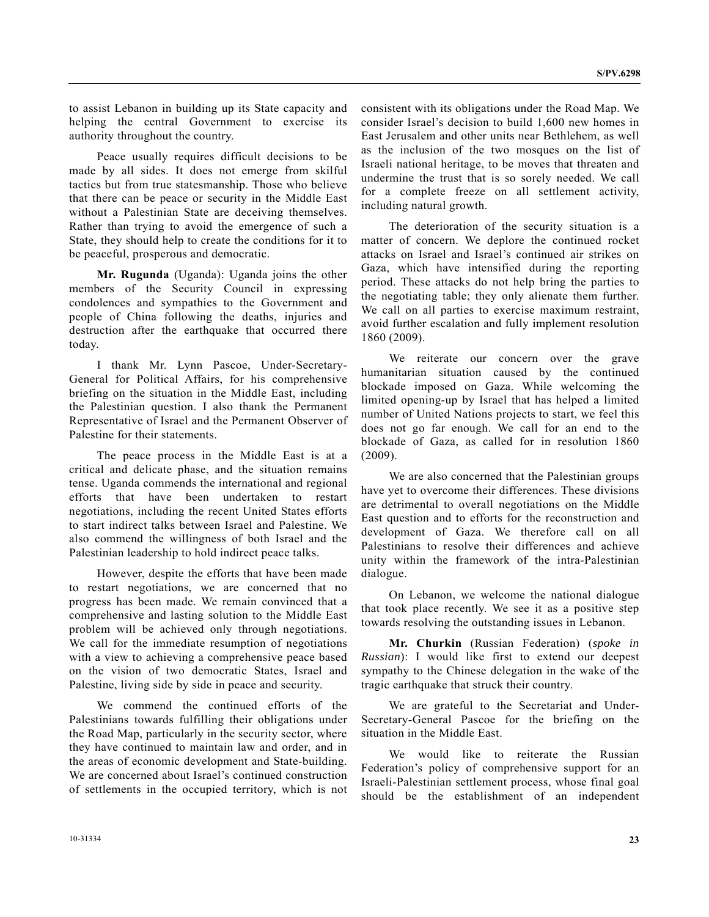to assist Lebanon in building up its State capacity and helping the central Government to exercise its authority throughout the country.

 Peace usually requires difficult decisions to be made by all sides. It does not emerge from skilful tactics but from true statesmanship. Those who believe that there can be peace or security in the Middle East without a Palestinian State are deceiving themselves. Rather than trying to avoid the emergence of such a State, they should help to create the conditions for it to be peaceful, prosperous and democratic.

 **Mr. Rugunda** (Uganda): Uganda joins the other members of the Security Council in expressing condolences and sympathies to the Government and people of China following the deaths, injuries and destruction after the earthquake that occurred there today.

 I thank Mr. Lynn Pascoe, Under-Secretary-General for Political Affairs, for his comprehensive briefing on the situation in the Middle East, including the Palestinian question. I also thank the Permanent Representative of Israel and the Permanent Observer of Palestine for their statements.

 The peace process in the Middle East is at a critical and delicate phase, and the situation remains tense. Uganda commends the international and regional efforts that have been undertaken to restart negotiations, including the recent United States efforts to start indirect talks between Israel and Palestine. We also commend the willingness of both Israel and the Palestinian leadership to hold indirect peace talks.

 However, despite the efforts that have been made to restart negotiations, we are concerned that no progress has been made. We remain convinced that a comprehensive and lasting solution to the Middle East problem will be achieved only through negotiations. We call for the immediate resumption of negotiations with a view to achieving a comprehensive peace based on the vision of two democratic States, Israel and Palestine, living side by side in peace and security.

 We commend the continued efforts of the Palestinians towards fulfilling their obligations under the Road Map, particularly in the security sector, where they have continued to maintain law and order, and in the areas of economic development and State-building. We are concerned about Israel's continued construction of settlements in the occupied territory, which is not consistent with its obligations under the Road Map. We consider Israel's decision to build 1,600 new homes in East Jerusalem and other units near Bethlehem, as well as the inclusion of the two mosques on the list of Israeli national heritage, to be moves that threaten and undermine the trust that is so sorely needed. We call for a complete freeze on all settlement activity, including natural growth.

 The deterioration of the security situation is a matter of concern. We deplore the continued rocket attacks on Israel and Israel's continued air strikes on Gaza, which have intensified during the reporting period. These attacks do not help bring the parties to the negotiating table; they only alienate them further. We call on all parties to exercise maximum restraint, avoid further escalation and fully implement resolution 1860 (2009).

 We reiterate our concern over the grave humanitarian situation caused by the continued blockade imposed on Gaza. While welcoming the limited opening-up by Israel that has helped a limited number of United Nations projects to start, we feel this does not go far enough. We call for an end to the blockade of Gaza, as called for in resolution 1860 (2009).

 We are also concerned that the Palestinian groups have yet to overcome their differences. These divisions are detrimental to overall negotiations on the Middle East question and to efforts for the reconstruction and development of Gaza. We therefore call on all Palestinians to resolve their differences and achieve unity within the framework of the intra-Palestinian dialogue.

 On Lebanon, we welcome the national dialogue that took place recently. We see it as a positive step towards resolving the outstanding issues in Lebanon.

 **Mr. Churkin** (Russian Federation) (*spoke in Russian*): I would like first to extend our deepest sympathy to the Chinese delegation in the wake of the tragic earthquake that struck their country.

 We are grateful to the Secretariat and Under-Secretary-General Pascoe for the briefing on the situation in the Middle East.

 We would like to reiterate the Russian Federation's policy of comprehensive support for an Israeli-Palestinian settlement process, whose final goal should be the establishment of an independent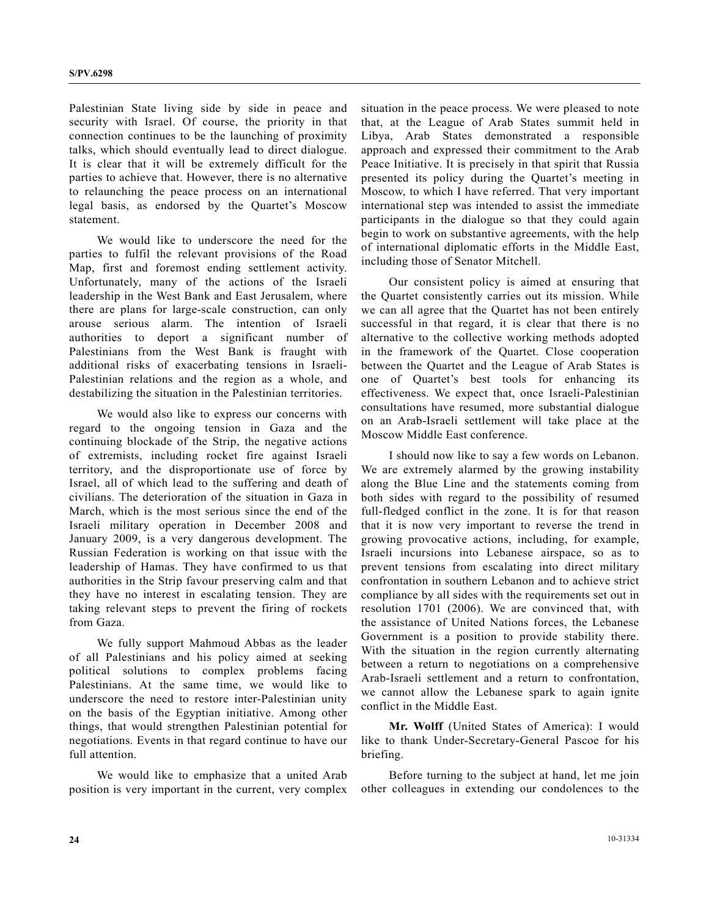Palestinian State living side by side in peace and security with Israel. Of course, the priority in that connection continues to be the launching of proximity talks, which should eventually lead to direct dialogue. It is clear that it will be extremely difficult for the parties to achieve that. However, there is no alternative to relaunching the peace process on an international legal basis, as endorsed by the Quartet's Moscow statement.

 We would like to underscore the need for the parties to fulfil the relevant provisions of the Road Map, first and foremost ending settlement activity. Unfortunately, many of the actions of the Israeli leadership in the West Bank and East Jerusalem, where there are plans for large-scale construction, can only arouse serious alarm. The intention of Israeli authorities to deport a significant number of Palestinians from the West Bank is fraught with additional risks of exacerbating tensions in Israeli-Palestinian relations and the region as a whole, and destabilizing the situation in the Palestinian territories.

 We would also like to express our concerns with regard to the ongoing tension in Gaza and the continuing blockade of the Strip, the negative actions of extremists, including rocket fire against Israeli territory, and the disproportionate use of force by Israel, all of which lead to the suffering and death of civilians. The deterioration of the situation in Gaza in March, which is the most serious since the end of the Israeli military operation in December 2008 and January 2009, is a very dangerous development. The Russian Federation is working on that issue with the leadership of Hamas. They have confirmed to us that authorities in the Strip favour preserving calm and that they have no interest in escalating tension. They are taking relevant steps to prevent the firing of rockets from Gaza.

 We fully support Mahmoud Abbas as the leader of all Palestinians and his policy aimed at seeking political solutions to complex problems facing Palestinians. At the same time, we would like to underscore the need to restore inter-Palestinian unity on the basis of the Egyptian initiative. Among other things, that would strengthen Palestinian potential for negotiations. Events in that regard continue to have our full attention.

 We would like to emphasize that a united Arab position is very important in the current, very complex

situation in the peace process. We were pleased to note that, at the League of Arab States summit held in Libya, Arab States demonstrated a responsible approach and expressed their commitment to the Arab Peace Initiative. It is precisely in that spirit that Russia presented its policy during the Quartet's meeting in Moscow, to which I have referred. That very important international step was intended to assist the immediate participants in the dialogue so that they could again begin to work on substantive agreements, with the help of international diplomatic efforts in the Middle East, including those of Senator Mitchell.

 Our consistent policy is aimed at ensuring that the Quartet consistently carries out its mission. While we can all agree that the Quartet has not been entirely successful in that regard, it is clear that there is no alternative to the collective working methods adopted in the framework of the Quartet. Close cooperation between the Quartet and the League of Arab States is one of Quartet's best tools for enhancing its effectiveness. We expect that, once Israeli-Palestinian consultations have resumed, more substantial dialogue on an Arab-Israeli settlement will take place at the Moscow Middle East conference.

 I should now like to say a few words on Lebanon. We are extremely alarmed by the growing instability along the Blue Line and the statements coming from both sides with regard to the possibility of resumed full-fledged conflict in the zone. It is for that reason that it is now very important to reverse the trend in growing provocative actions, including, for example, Israeli incursions into Lebanese airspace, so as to prevent tensions from escalating into direct military confrontation in southern Lebanon and to achieve strict compliance by all sides with the requirements set out in resolution 1701 (2006). We are convinced that, with the assistance of United Nations forces, the Lebanese Government is a position to provide stability there. With the situation in the region currently alternating between a return to negotiations on a comprehensive Arab-Israeli settlement and a return to confrontation, we cannot allow the Lebanese spark to again ignite conflict in the Middle East.

 **Mr. Wolff** (United States of America): I would like to thank Under-Secretary-General Pascoe for his briefing.

 Before turning to the subject at hand, let me join other colleagues in extending our condolences to the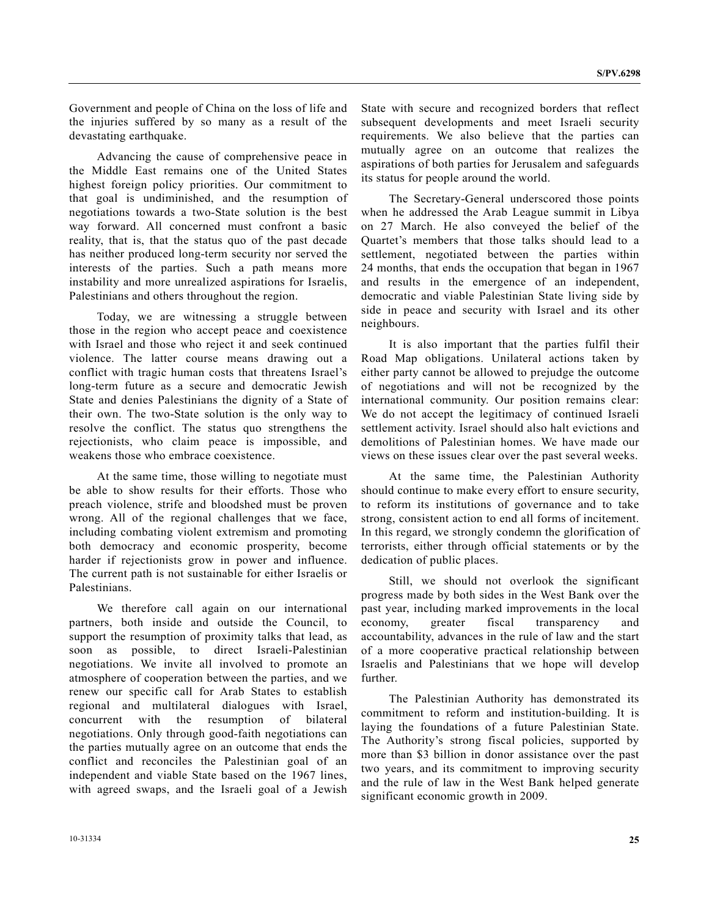Government and people of China on the loss of life and the injuries suffered by so many as a result of the devastating earthquake.

 Advancing the cause of comprehensive peace in the Middle East remains one of the United States highest foreign policy priorities. Our commitment to that goal is undiminished, and the resumption of negotiations towards a two-State solution is the best way forward. All concerned must confront a basic reality, that is, that the status quo of the past decade has neither produced long-term security nor served the interests of the parties. Such a path means more instability and more unrealized aspirations for Israelis, Palestinians and others throughout the region.

 Today, we are witnessing a struggle between those in the region who accept peace and coexistence with Israel and those who reject it and seek continued violence. The latter course means drawing out a conflict with tragic human costs that threatens Israel's long-term future as a secure and democratic Jewish State and denies Palestinians the dignity of a State of their own. The two-State solution is the only way to resolve the conflict. The status quo strengthens the rejectionists, who claim peace is impossible, and weakens those who embrace coexistence.

 At the same time, those willing to negotiate must be able to show results for their efforts. Those who preach violence, strife and bloodshed must be proven wrong. All of the regional challenges that we face, including combating violent extremism and promoting both democracy and economic prosperity, become harder if rejectionists grow in power and influence. The current path is not sustainable for either Israelis or Palestinians.

 We therefore call again on our international partners, both inside and outside the Council, to support the resumption of proximity talks that lead, as soon as possible, to direct Israeli-Palestinian negotiations. We invite all involved to promote an atmosphere of cooperation between the parties, and we renew our specific call for Arab States to establish regional and multilateral dialogues with Israel, concurrent with the resumption of bilateral negotiations. Only through good-faith negotiations can the parties mutually agree on an outcome that ends the conflict and reconciles the Palestinian goal of an independent and viable State based on the 1967 lines, with agreed swaps, and the Israeli goal of a Jewish State with secure and recognized borders that reflect subsequent developments and meet Israeli security requirements. We also believe that the parties can mutually agree on an outcome that realizes the aspirations of both parties for Jerusalem and safeguards its status for people around the world.

 The Secretary-General underscored those points when he addressed the Arab League summit in Libya on 27 March. He also conveyed the belief of the Quartet's members that those talks should lead to a settlement, negotiated between the parties within 24 months, that ends the occupation that began in 1967 and results in the emergence of an independent, democratic and viable Palestinian State living side by side in peace and security with Israel and its other neighbours.

 It is also important that the parties fulfil their Road Map obligations. Unilateral actions taken by either party cannot be allowed to prejudge the outcome of negotiations and will not be recognized by the international community. Our position remains clear: We do not accept the legitimacy of continued Israeli settlement activity. Israel should also halt evictions and demolitions of Palestinian homes. We have made our views on these issues clear over the past several weeks.

 At the same time, the Palestinian Authority should continue to make every effort to ensure security, to reform its institutions of governance and to take strong, consistent action to end all forms of incitement. In this regard, we strongly condemn the glorification of terrorists, either through official statements or by the dedication of public places.

 Still, we should not overlook the significant progress made by both sides in the West Bank over the past year, including marked improvements in the local economy, greater fiscal transparency and accountability, advances in the rule of law and the start of a more cooperative practical relationship between Israelis and Palestinians that we hope will develop further.

 The Palestinian Authority has demonstrated its commitment to reform and institution-building. It is laying the foundations of a future Palestinian State. The Authority's strong fiscal policies, supported by more than \$3 billion in donor assistance over the past two years, and its commitment to improving security and the rule of law in the West Bank helped generate significant economic growth in 2009.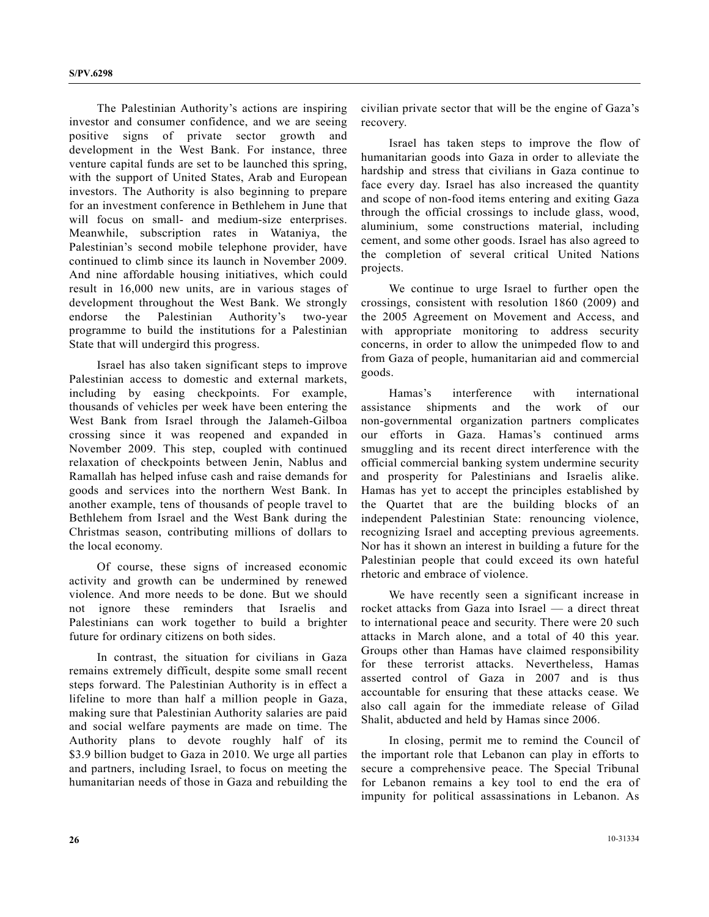The Palestinian Authority's actions are inspiring investor and consumer confidence, and we are seeing positive signs of private sector growth and development in the West Bank. For instance, three venture capital funds are set to be launched this spring, with the support of United States, Arab and European investors. The Authority is also beginning to prepare for an investment conference in Bethlehem in June that will focus on small- and medium-size enterprises. Meanwhile, subscription rates in Wataniya, the Palestinian's second mobile telephone provider, have continued to climb since its launch in November 2009. And nine affordable housing initiatives, which could result in 16,000 new units, are in various stages of development throughout the West Bank. We strongly endorse the Palestinian Authority's two-year programme to build the institutions for a Palestinian State that will undergird this progress.

 Israel has also taken significant steps to improve Palestinian access to domestic and external markets, including by easing checkpoints. For example, thousands of vehicles per week have been entering the West Bank from Israel through the Jalameh-Gilboa crossing since it was reopened and expanded in November 2009. This step, coupled with continued relaxation of checkpoints between Jenin, Nablus and Ramallah has helped infuse cash and raise demands for goods and services into the northern West Bank. In another example, tens of thousands of people travel to Bethlehem from Israel and the West Bank during the Christmas season, contributing millions of dollars to the local economy.

 Of course, these signs of increased economic activity and growth can be undermined by renewed violence. And more needs to be done. But we should not ignore these reminders that Israelis and Palestinians can work together to build a brighter future for ordinary citizens on both sides.

 In contrast, the situation for civilians in Gaza remains extremely difficult, despite some small recent steps forward. The Palestinian Authority is in effect a lifeline to more than half a million people in Gaza, making sure that Palestinian Authority salaries are paid and social welfare payments are made on time. The Authority plans to devote roughly half of its \$3.9 billion budget to Gaza in 2010. We urge all parties and partners, including Israel, to focus on meeting the humanitarian needs of those in Gaza and rebuilding the

civilian private sector that will be the engine of Gaza's recovery.

 Israel has taken steps to improve the flow of humanitarian goods into Gaza in order to alleviate the hardship and stress that civilians in Gaza continue to face every day. Israel has also increased the quantity and scope of non-food items entering and exiting Gaza through the official crossings to include glass, wood, aluminium, some constructions material, including cement, and some other goods. Israel has also agreed to the completion of several critical United Nations projects.

 We continue to urge Israel to further open the crossings, consistent with resolution 1860 (2009) and the 2005 Agreement on Movement and Access, and with appropriate monitoring to address security concerns, in order to allow the unimpeded flow to and from Gaza of people, humanitarian aid and commercial goods.

 Hamas's interference with international assistance shipments and the work of our non-governmental organization partners complicates our efforts in Gaza. Hamas's continued arms smuggling and its recent direct interference with the official commercial banking system undermine security and prosperity for Palestinians and Israelis alike. Hamas has yet to accept the principles established by the Quartet that are the building blocks of an independent Palestinian State: renouncing violence, recognizing Israel and accepting previous agreements. Nor has it shown an interest in building a future for the Palestinian people that could exceed its own hateful rhetoric and embrace of violence.

 We have recently seen a significant increase in rocket attacks from Gaza into Israel — a direct threat to international peace and security. There were 20 such attacks in March alone, and a total of 40 this year. Groups other than Hamas have claimed responsibility for these terrorist attacks. Nevertheless, Hamas asserted control of Gaza in 2007 and is thus accountable for ensuring that these attacks cease. We also call again for the immediate release of Gilad Shalit, abducted and held by Hamas since 2006.

 In closing, permit me to remind the Council of the important role that Lebanon can play in efforts to secure a comprehensive peace. The Special Tribunal for Lebanon remains a key tool to end the era of impunity for political assassinations in Lebanon. As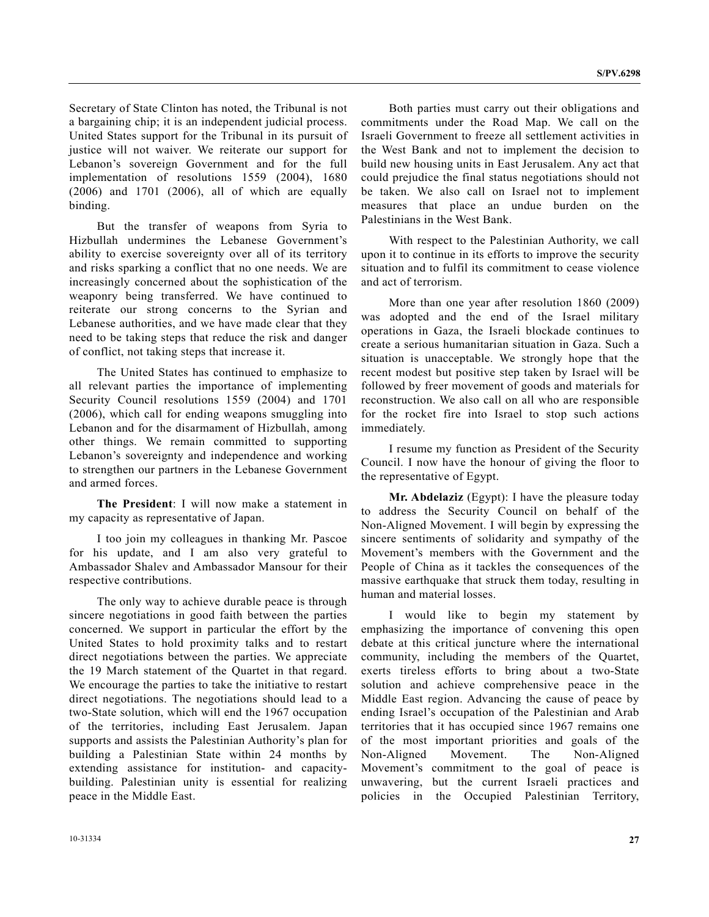Secretary of State Clinton has noted, the Tribunal is not a bargaining chip; it is an independent judicial process. United States support for the Tribunal in its pursuit of justice will not waiver. We reiterate our support for Lebanon's sovereign Government and for the full implementation of resolutions 1559 (2004), 1680 (2006) and 1701 (2006), all of which are equally binding.

 But the transfer of weapons from Syria to Hizbullah undermines the Lebanese Government's ability to exercise sovereignty over all of its territory and risks sparking a conflict that no one needs. We are increasingly concerned about the sophistication of the weaponry being transferred. We have continued to reiterate our strong concerns to the Syrian and Lebanese authorities, and we have made clear that they need to be taking steps that reduce the risk and danger of conflict, not taking steps that increase it.

 The United States has continued to emphasize to all relevant parties the importance of implementing Security Council resolutions 1559 (2004) and 1701 (2006), which call for ending weapons smuggling into Lebanon and for the disarmament of Hizbullah, among other things. We remain committed to supporting Lebanon's sovereignty and independence and working to strengthen our partners in the Lebanese Government and armed forces.

**The President**: I will now make a statement in my capacity as representative of Japan.

 I too join my colleagues in thanking Mr. Pascoe for his update, and I am also very grateful to Ambassador Shalev and Ambassador Mansour for their respective contributions.

 The only way to achieve durable peace is through sincere negotiations in good faith between the parties concerned. We support in particular the effort by the United States to hold proximity talks and to restart direct negotiations between the parties. We appreciate the 19 March statement of the Quartet in that regard. We encourage the parties to take the initiative to restart direct negotiations. The negotiations should lead to a two-State solution, which will end the 1967 occupation of the territories, including East Jerusalem. Japan supports and assists the Palestinian Authority's plan for building a Palestinian State within 24 months by extending assistance for institution- and capacitybuilding. Palestinian unity is essential for realizing peace in the Middle East.

 Both parties must carry out their obligations and commitments under the Road Map. We call on the Israeli Government to freeze all settlement activities in the West Bank and not to implement the decision to build new housing units in East Jerusalem. Any act that could prejudice the final status negotiations should not be taken. We also call on Israel not to implement measures that place an undue burden on the Palestinians in the West Bank.

 With respect to the Palestinian Authority, we call upon it to continue in its efforts to improve the security situation and to fulfil its commitment to cease violence and act of terrorism.

 More than one year after resolution 1860 (2009) was adopted and the end of the Israel military operations in Gaza, the Israeli blockade continues to create a serious humanitarian situation in Gaza. Such a situation is unacceptable. We strongly hope that the recent modest but positive step taken by Israel will be followed by freer movement of goods and materials for reconstruction. We also call on all who are responsible for the rocket fire into Israel to stop such actions immediately.

 I resume my function as President of the Security Council. I now have the honour of giving the floor to the representative of Egypt.

**Mr. Abdelaziz** (Egypt): I have the pleasure today to address the Security Council on behalf of the Non-Aligned Movement. I will begin by expressing the sincere sentiments of solidarity and sympathy of the Movement's members with the Government and the People of China as it tackles the consequences of the massive earthquake that struck them today, resulting in human and material losses.

 I would like to begin my statement by emphasizing the importance of convening this open debate at this critical juncture where the international community, including the members of the Quartet, exerts tireless efforts to bring about a two-State solution and achieve comprehensive peace in the Middle East region. Advancing the cause of peace by ending Israel's occupation of the Palestinian and Arab territories that it has occupied since 1967 remains one of the most important priorities and goals of the Non-Aligned Movement. The Non-Aligned Movement's commitment to the goal of peace is unwavering, but the current Israeli practices and policies in the Occupied Palestinian Territory,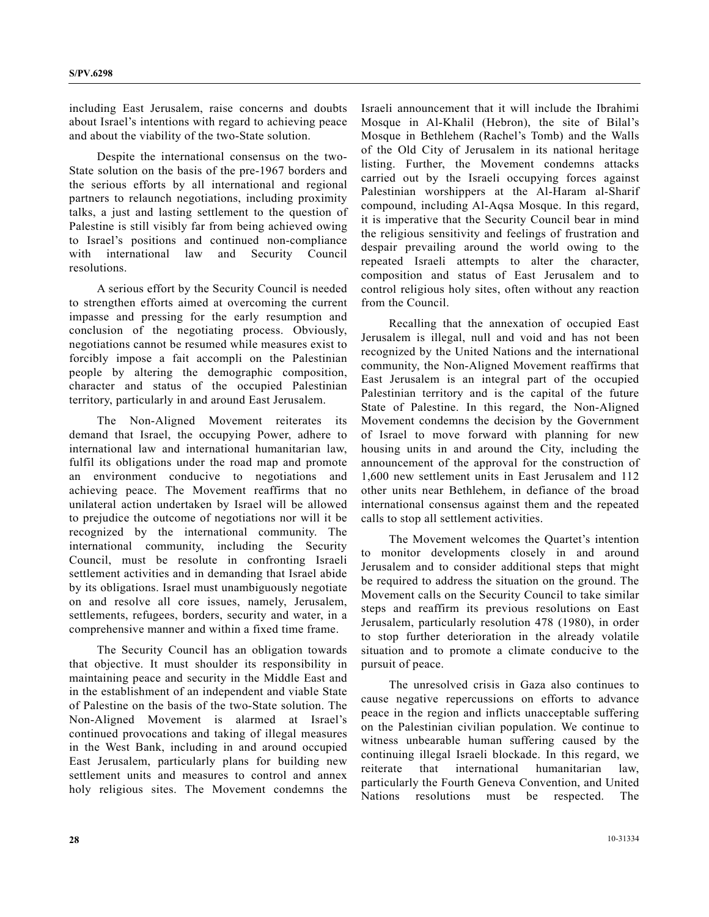including East Jerusalem, raise concerns and doubts about Israel's intentions with regard to achieving peace and about the viability of the two-State solution.

 Despite the international consensus on the two-State solution on the basis of the pre-1967 borders and the serious efforts by all international and regional partners to relaunch negotiations, including proximity talks, a just and lasting settlement to the question of Palestine is still visibly far from being achieved owing to Israel's positions and continued non-compliance with international law and Security Council resolutions.

 A serious effort by the Security Council is needed to strengthen efforts aimed at overcoming the current impasse and pressing for the early resumption and conclusion of the negotiating process. Obviously, negotiations cannot be resumed while measures exist to forcibly impose a fait accompli on the Palestinian people by altering the demographic composition, character and status of the occupied Palestinian territory, particularly in and around East Jerusalem.

 The Non-Aligned Movement reiterates its demand that Israel, the occupying Power, adhere to international law and international humanitarian law, fulfil its obligations under the road map and promote an environment conducive to negotiations and achieving peace. The Movement reaffirms that no unilateral action undertaken by Israel will be allowed to prejudice the outcome of negotiations nor will it be recognized by the international community. The international community, including the Security Council, must be resolute in confronting Israeli settlement activities and in demanding that Israel abide by its obligations. Israel must unambiguously negotiate on and resolve all core issues, namely, Jerusalem, settlements, refugees, borders, security and water, in a comprehensive manner and within a fixed time frame.

 The Security Council has an obligation towards that objective. It must shoulder its responsibility in maintaining peace and security in the Middle East and in the establishment of an independent and viable State of Palestine on the basis of the two-State solution. The Non-Aligned Movement is alarmed at Israel's continued provocations and taking of illegal measures in the West Bank, including in and around occupied East Jerusalem, particularly plans for building new settlement units and measures to control and annex holy religious sites. The Movement condemns the

Israeli announcement that it will include the Ibrahimi Mosque in Al-Khalil (Hebron), the site of Bilal's Mosque in Bethlehem (Rachel's Tomb) and the Walls of the Old City of Jerusalem in its national heritage listing. Further, the Movement condemns attacks carried out by the Israeli occupying forces against Palestinian worshippers at the Al-Haram al-Sharif compound, including Al-Aqsa Mosque. In this regard, it is imperative that the Security Council bear in mind the religious sensitivity and feelings of frustration and despair prevailing around the world owing to the repeated Israeli attempts to alter the character, composition and status of East Jerusalem and to control religious holy sites, often without any reaction from the Council.

 Recalling that the annexation of occupied East Jerusalem is illegal, null and void and has not been recognized by the United Nations and the international community, the Non-Aligned Movement reaffirms that East Jerusalem is an integral part of the occupied Palestinian territory and is the capital of the future State of Palestine. In this regard, the Non-Aligned Movement condemns the decision by the Government of Israel to move forward with planning for new housing units in and around the City, including the announcement of the approval for the construction of 1,600 new settlement units in East Jerusalem and 112 other units near Bethlehem, in defiance of the broad international consensus against them and the repeated calls to stop all settlement activities.

 The Movement welcomes the Quartet's intention to monitor developments closely in and around Jerusalem and to consider additional steps that might be required to address the situation on the ground. The Movement calls on the Security Council to take similar steps and reaffirm its previous resolutions on East Jerusalem, particularly resolution 478 (1980), in order to stop further deterioration in the already volatile situation and to promote a climate conducive to the pursuit of peace.

 The unresolved crisis in Gaza also continues to cause negative repercussions on efforts to advance peace in the region and inflicts unacceptable suffering on the Palestinian civilian population. We continue to witness unbearable human suffering caused by the continuing illegal Israeli blockade. In this regard, we reiterate that international humanitarian law, particularly the Fourth Geneva Convention, and United Nations resolutions must be respected. The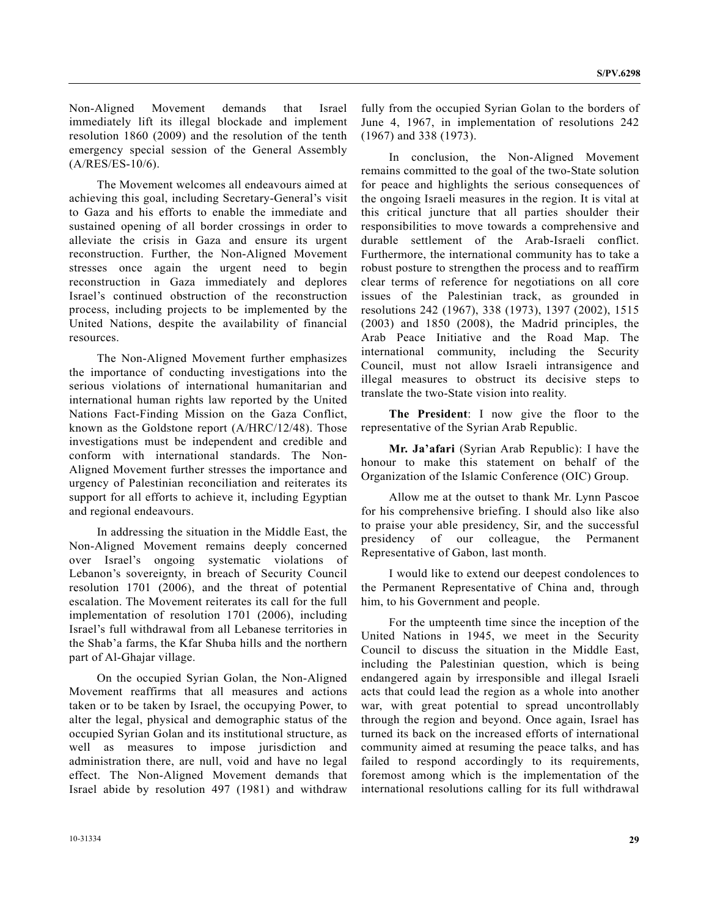Non-Aligned Movement demands that Israel immediately lift its illegal blockade and implement resolution 1860 (2009) and the resolution of the tenth emergency special session of the General Assembly (A/RES/ES-10/6).

 The Movement welcomes all endeavours aimed at achieving this goal, including Secretary-General's visit to Gaza and his efforts to enable the immediate and sustained opening of all border crossings in order to alleviate the crisis in Gaza and ensure its urgent reconstruction. Further, the Non-Aligned Movement stresses once again the urgent need to begin reconstruction in Gaza immediately and deplores Israel's continued obstruction of the reconstruction process, including projects to be implemented by the United Nations, despite the availability of financial resources.

 The Non-Aligned Movement further emphasizes the importance of conducting investigations into the serious violations of international humanitarian and international human rights law reported by the United Nations Fact-Finding Mission on the Gaza Conflict, known as the Goldstone report (A/HRC/12/48). Those investigations must be independent and credible and conform with international standards. The Non-Aligned Movement further stresses the importance and urgency of Palestinian reconciliation and reiterates its support for all efforts to achieve it, including Egyptian and regional endeavours.

 In addressing the situation in the Middle East, the Non-Aligned Movement remains deeply concerned over Israel's ongoing systematic violations of Lebanon's sovereignty, in breach of Security Council resolution 1701 (2006), and the threat of potential escalation. The Movement reiterates its call for the full implementation of resolution 1701 (2006), including Israel's full withdrawal from all Lebanese territories in the Shab'a farms, the Kfar Shuba hills and the northern part of Al-Ghajar village.

 On the occupied Syrian Golan, the Non-Aligned Movement reaffirms that all measures and actions taken or to be taken by Israel, the occupying Power, to alter the legal, physical and demographic status of the occupied Syrian Golan and its institutional structure, as well as measures to impose jurisdiction and administration there, are null, void and have no legal effect. The Non-Aligned Movement demands that Israel abide by resolution 497 (1981) and withdraw fully from the occupied Syrian Golan to the borders of June 4, 1967, in implementation of resolutions 242 (1967) and 338 (1973).

 In conclusion, the Non-Aligned Movement remains committed to the goal of the two-State solution for peace and highlights the serious consequences of the ongoing Israeli measures in the region. It is vital at this critical juncture that all parties shoulder their responsibilities to move towards a comprehensive and durable settlement of the Arab-Israeli conflict. Furthermore, the international community has to take a robust posture to strengthen the process and to reaffirm clear terms of reference for negotiations on all core issues of the Palestinian track, as grounded in resolutions 242 (1967), 338 (1973), 1397 (2002), 1515 (2003) and 1850 (2008), the Madrid principles, the Arab Peace Initiative and the Road Map. The international community, including the Security Council, must not allow Israeli intransigence and illegal measures to obstruct its decisive steps to translate the two-State vision into reality.

**The President**: I now give the floor to the representative of the Syrian Arab Republic.

**Mr. Ja'afari** (Syrian Arab Republic): I have the honour to make this statement on behalf of the Organization of the Islamic Conference (OIC) Group.

 Allow me at the outset to thank Mr. Lynn Pascoe for his comprehensive briefing. I should also like also to praise your able presidency, Sir, and the successful presidency of our colleague, the Permanent Representative of Gabon, last month.

 I would like to extend our deepest condolences to the Permanent Representative of China and, through him, to his Government and people.

 For the umpteenth time since the inception of the United Nations in 1945, we meet in the Security Council to discuss the situation in the Middle East, including the Palestinian question, which is being endangered again by irresponsible and illegal Israeli acts that could lead the region as a whole into another war, with great potential to spread uncontrollably through the region and beyond. Once again, Israel has turned its back on the increased efforts of international community aimed at resuming the peace talks, and has failed to respond accordingly to its requirements, foremost among which is the implementation of the international resolutions calling for its full withdrawal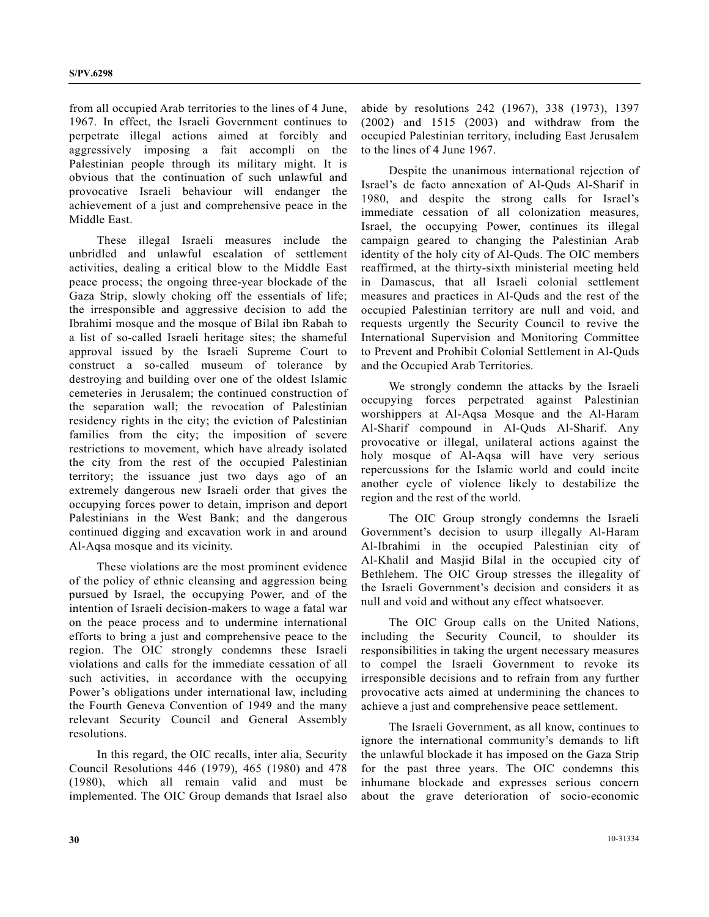from all occupied Arab territories to the lines of 4 June, 1967. In effect, the Israeli Government continues to perpetrate illegal actions aimed at forcibly and aggressively imposing a fait accompli on the Palestinian people through its military might. It is obvious that the continuation of such unlawful and provocative Israeli behaviour will endanger the achievement of a just and comprehensive peace in the Middle East.

 These illegal Israeli measures include the unbridled and unlawful escalation of settlement activities, dealing a critical blow to the Middle East peace process; the ongoing three-year blockade of the Gaza Strip, slowly choking off the essentials of life; the irresponsible and aggressive decision to add the Ibrahimi mosque and the mosque of Bilal ibn Rabah to a list of so-called Israeli heritage sites; the shameful approval issued by the Israeli Supreme Court to construct a so-called museum of tolerance by destroying and building over one of the oldest Islamic cemeteries in Jerusalem; the continued construction of the separation wall; the revocation of Palestinian residency rights in the city; the eviction of Palestinian families from the city; the imposition of severe restrictions to movement, which have already isolated the city from the rest of the occupied Palestinian territory; the issuance just two days ago of an extremely dangerous new Israeli order that gives the occupying forces power to detain, imprison and deport Palestinians in the West Bank; and the dangerous continued digging and excavation work in and around Al-Aqsa mosque and its vicinity.

 These violations are the most prominent evidence of the policy of ethnic cleansing and aggression being pursued by Israel, the occupying Power, and of the intention of Israeli decision-makers to wage a fatal war on the peace process and to undermine international efforts to bring a just and comprehensive peace to the region. The OIC strongly condemns these Israeli violations and calls for the immediate cessation of all such activities, in accordance with the occupying Power's obligations under international law, including the Fourth Geneva Convention of 1949 and the many relevant Security Council and General Assembly resolutions.

 In this regard, the OIC recalls, inter alia, Security Council Resolutions 446 (1979), 465 (1980) and 478 (1980), which all remain valid and must be implemented. The OIC Group demands that Israel also abide by resolutions 242 (1967), 338 (1973), 1397 (2002) and 1515 (2003) and withdraw from the occupied Palestinian territory, including East Jerusalem to the lines of 4 June 1967.

 Despite the unanimous international rejection of Israel's de facto annexation of Al-Quds Al-Sharif in 1980, and despite the strong calls for Israel's immediate cessation of all colonization measures, Israel, the occupying Power, continues its illegal campaign geared to changing the Palestinian Arab identity of the holy city of Al-Quds. The OIC members reaffirmed, at the thirty-sixth ministerial meeting held in Damascus, that all Israeli colonial settlement measures and practices in Al-Quds and the rest of the occupied Palestinian territory are null and void, and requests urgently the Security Council to revive the International Supervision and Monitoring Committee to Prevent and Prohibit Colonial Settlement in Al-Quds and the Occupied Arab Territories.

 We strongly condemn the attacks by the Israeli occupying forces perpetrated against Palestinian worshippers at Al-Aqsa Mosque and the Al-Haram Al-Sharif compound in Al-Quds Al-Sharif. Any provocative or illegal, unilateral actions against the holy mosque of Al-Aqsa will have very serious repercussions for the Islamic world and could incite another cycle of violence likely to destabilize the region and the rest of the world.

 The OIC Group strongly condemns the Israeli Government's decision to usurp illegally Al-Haram Al-Ibrahimi in the occupied Palestinian city of Al-Khalil and Masjid Bilal in the occupied city of Bethlehem. The OIC Group stresses the illegality of the Israeli Government's decision and considers it as null and void and without any effect whatsoever.

 The OIC Group calls on the United Nations, including the Security Council, to shoulder its responsibilities in taking the urgent necessary measures to compel the Israeli Government to revoke its irresponsible decisions and to refrain from any further provocative acts aimed at undermining the chances to achieve a just and comprehensive peace settlement.

 The Israeli Government, as all know, continues to ignore the international community's demands to lift the unlawful blockade it has imposed on the Gaza Strip for the past three years. The OIC condemns this inhumane blockade and expresses serious concern about the grave deterioration of socio-economic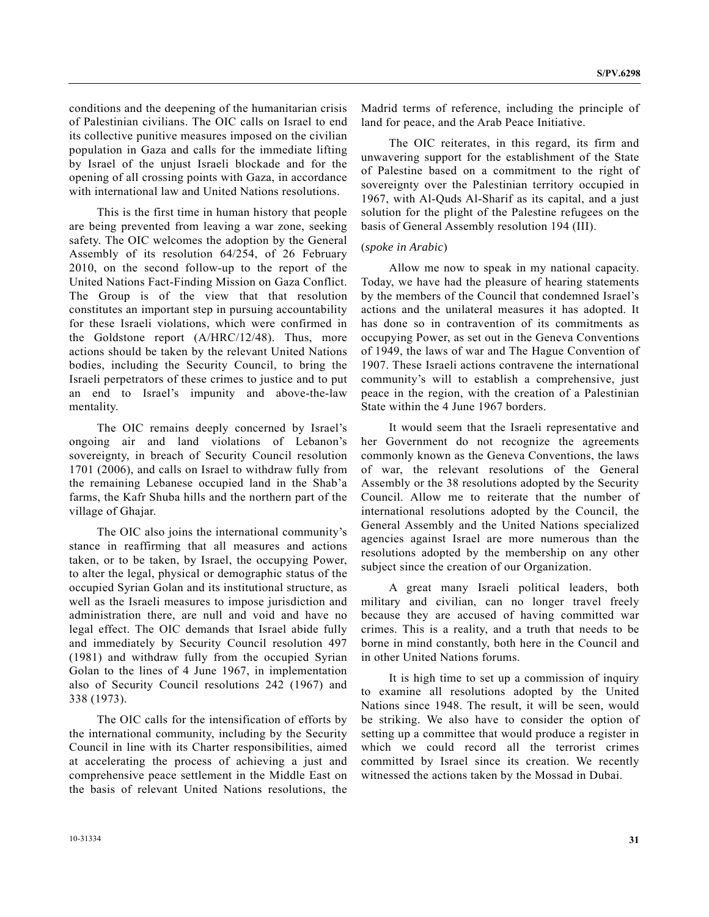conditions and the deepening of the humanitarian crisis of Palestinian civilians. The OIC calls on Israel to end its collective punitive measures imposed on the civilian population in Gaza and calls for the immediate lifting by Israel of the unjust Israeli blockade and for the opening of all crossing points with Gaza, in accordance with international law and United Nations resolutions.

 This is the first time in human history that people are being prevented from leaving a war zone, seeking safety. The OIC welcomes the adoption by the General Assembly of its resolution 64/254, of 26 February 2010, on the second follow-up to the report of the United Nations Fact-Finding Mission on Gaza Conflict. The Group is of the view that that resolution constitutes an important step in pursuing accountability for these Israeli violations, which were confirmed in the Goldstone report (A/HRC/12/48). Thus, more actions should be taken by the relevant United Nations bodies, including the Security Council, to bring the Israeli perpetrators of these crimes to justice and to put an end to Israel's impunity and above-the-law mentality.

 The OIC remains deeply concerned by Israel's ongoing air and land violations of Lebanon's sovereignty, in breach of Security Council resolution 1701 (2006), and calls on Israel to withdraw fully from the remaining Lebanese occupied land in the Shab'a farms, the Kafr Shuba hills and the northern part of the village of Ghajar.

 The OIC also joins the international community's stance in reaffirming that all measures and actions taken, or to be taken, by Israel, the occupying Power, to alter the legal, physical or demographic status of the occupied Syrian Golan and its institutional structure, as well as the Israeli measures to impose jurisdiction and administration there, are null and void and have no legal effect. The OIC demands that Israel abide fully and immediately by Security Council resolution 497 (1981) and withdraw fully from the occupied Syrian Golan to the lines of 4 June 1967, in implementation also of Security Council resolutions 242 (1967) and 338 (1973).

 The OIC calls for the intensification of efforts by the international community, including by the Security Council in line with its Charter responsibilities, aimed at accelerating the process of achieving a just and comprehensive peace settlement in the Middle East on the basis of relevant United Nations resolutions, the

Madrid terms of reference, including the principle of land for peace, and the Arab Peace Initiative.

 The OIC reiterates, in this regard, its firm and unwavering support for the establishment of the State of Palestine based on a commitment to the right of sovereignty over the Palestinian territory occupied in 1967, with Al-Quds Al-Sharif as its capital, and a just solution for the plight of the Palestine refugees on the basis of General Assembly resolution 194 (III).

### (*spoke in Arabic*)

 Allow me now to speak in my national capacity. Today, we have had the pleasure of hearing statements by the members of the Council that condemned Israel's actions and the unilateral measures it has adopted. It has done so in contravention of its commitments as occupying Power, as set out in the Geneva Conventions of 1949, the laws of war and The Hague Convention of 1907. These Israeli actions contravene the international community's will to establish a comprehensive, just peace in the region, with the creation of a Palestinian State within the 4 June 1967 borders.

 It would seem that the Israeli representative and her Government do not recognize the agreements commonly known as the Geneva Conventions, the laws of war, the relevant resolutions of the General Assembly or the 38 resolutions adopted by the Security Council. Allow me to reiterate that the number of international resolutions adopted by the Council, the General Assembly and the United Nations specialized agencies against Israel are more numerous than the resolutions adopted by the membership on any other subject since the creation of our Organization.

 A great many Israeli political leaders, both military and civilian, can no longer travel freely because they are accused of having committed war crimes. This is a reality, and a truth that needs to be borne in mind constantly, both here in the Council and in other United Nations forums.

 It is high time to set up a commission of inquiry to examine all resolutions adopted by the United Nations since 1948. The result, it will be seen, would be striking. We also have to consider the option of setting up a committee that would produce a register in which we could record all the terrorist crimes committed by Israel since its creation. We recently witnessed the actions taken by the Mossad in Dubai.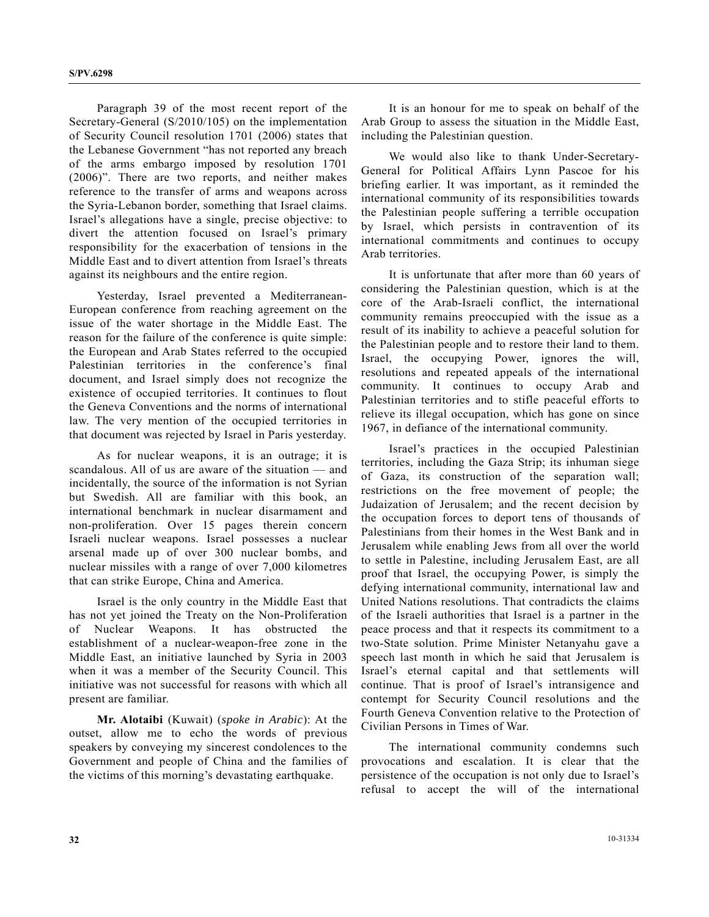Paragraph 39 of the most recent report of the Secretary-General (S/2010/105) on the implementation of Security Council resolution 1701 (2006) states that the Lebanese Government "has not reported any breach of the arms embargo imposed by resolution 1701 (2006)". There are two reports, and neither makes reference to the transfer of arms and weapons across the Syria-Lebanon border, something that Israel claims. Israel's allegations have a single, precise objective: to divert the attention focused on Israel's primary responsibility for the exacerbation of tensions in the Middle East and to divert attention from Israel's threats against its neighbours and the entire region.

 Yesterday, Israel prevented a Mediterranean-European conference from reaching agreement on the issue of the water shortage in the Middle East. The reason for the failure of the conference is quite simple: the European and Arab States referred to the occupied Palestinian territories in the conference's final document, and Israel simply does not recognize the existence of occupied territories. It continues to flout the Geneva Conventions and the norms of international law. The very mention of the occupied territories in that document was rejected by Israel in Paris yesterday.

 As for nuclear weapons, it is an outrage; it is scandalous. All of us are aware of the situation — and incidentally, the source of the information is not Syrian but Swedish. All are familiar with this book, an international benchmark in nuclear disarmament and non-proliferation. Over 15 pages therein concern Israeli nuclear weapons. Israel possesses a nuclear arsenal made up of over 300 nuclear bombs, and nuclear missiles with a range of over 7,000 kilometres that can strike Europe, China and America.

 Israel is the only country in the Middle East that has not yet joined the Treaty on the Non-Proliferation of Nuclear Weapons. It has obstructed the establishment of a nuclear-weapon-free zone in the Middle East, an initiative launched by Syria in 2003 when it was a member of the Security Council. This initiative was not successful for reasons with which all present are familiar.

**Mr. Alotaibi** (Kuwait) (*spoke in Arabic*): At the outset, allow me to echo the words of previous speakers by conveying my sincerest condolences to the Government and people of China and the families of the victims of this morning's devastating earthquake.

 It is an honour for me to speak on behalf of the Arab Group to assess the situation in the Middle East, including the Palestinian question.

 We would also like to thank Under-Secretary-General for Political Affairs Lynn Pascoe for his briefing earlier. It was important, as it reminded the international community of its responsibilities towards the Palestinian people suffering a terrible occupation by Israel, which persists in contravention of its international commitments and continues to occupy Arab territories.

 It is unfortunate that after more than 60 years of considering the Palestinian question, which is at the core of the Arab-Israeli conflict, the international community remains preoccupied with the issue as a result of its inability to achieve a peaceful solution for the Palestinian people and to restore their land to them. Israel, the occupying Power, ignores the will, resolutions and repeated appeals of the international community. It continues to occupy Arab and Palestinian territories and to stifle peaceful efforts to relieve its illegal occupation, which has gone on since 1967, in defiance of the international community.

 Israel's practices in the occupied Palestinian territories, including the Gaza Strip; its inhuman siege of Gaza, its construction of the separation wall; restrictions on the free movement of people; the Judaization of Jerusalem; and the recent decision by the occupation forces to deport tens of thousands of Palestinians from their homes in the West Bank and in Jerusalem while enabling Jews from all over the world to settle in Palestine, including Jerusalem East, are all proof that Israel, the occupying Power, is simply the defying international community, international law and United Nations resolutions. That contradicts the claims of the Israeli authorities that Israel is a partner in the peace process and that it respects its commitment to a two-State solution. Prime Minister Netanyahu gave a speech last month in which he said that Jerusalem is Israel's eternal capital and that settlements will continue. That is proof of Israel's intransigence and contempt for Security Council resolutions and the Fourth Geneva Convention relative to the Protection of Civilian Persons in Times of War.

 The international community condemns such provocations and escalation. It is clear that the persistence of the occupation is not only due to Israel's refusal to accept the will of the international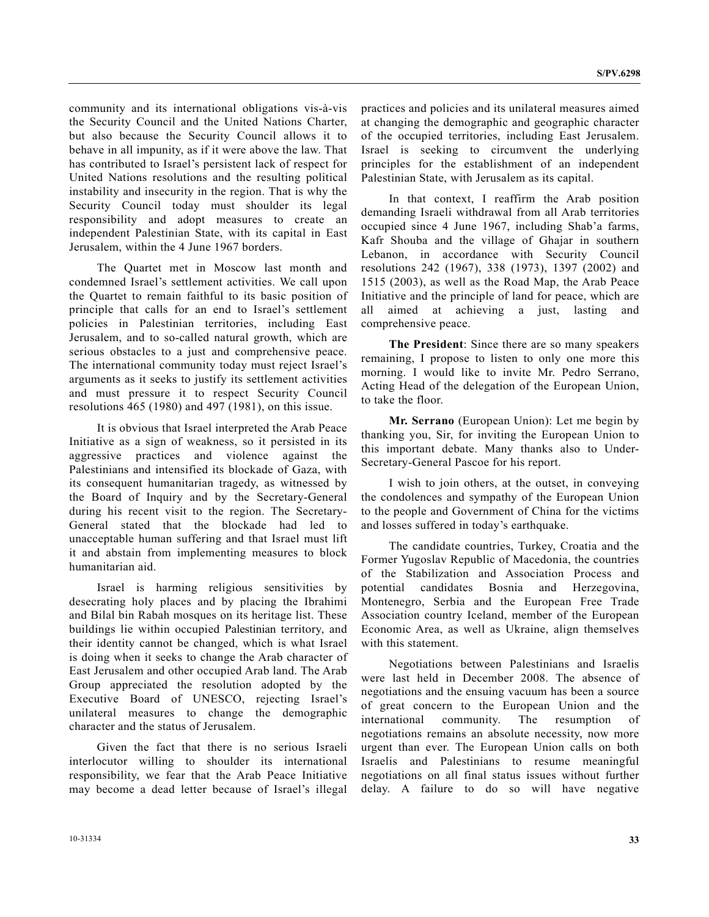**S/PV.6298**

community and its international obligations vis-à-vis the Security Council and the United Nations Charter, but also because the Security Council allows it to behave in all impunity, as if it were above the law. That has contributed to Israel's persistent lack of respect for United Nations resolutions and the resulting political instability and insecurity in the region. That is why the Security Council today must shoulder its legal responsibility and adopt measures to create an independent Palestinian State, with its capital in East Jerusalem, within the 4 June 1967 borders.

 The Quartet met in Moscow last month and condemned Israel's settlement activities. We call upon the Quartet to remain faithful to its basic position of principle that calls for an end to Israel's settlement policies in Palestinian territories, including East Jerusalem, and to so-called natural growth, which are serious obstacles to a just and comprehensive peace. The international community today must reject Israel's arguments as it seeks to justify its settlement activities and must pressure it to respect Security Council resolutions 465 (1980) and 497 (1981), on this issue.

 It is obvious that Israel interpreted the Arab Peace Initiative as a sign of weakness, so it persisted in its aggressive practices and violence against the Palestinians and intensified its blockade of Gaza, with its consequent humanitarian tragedy, as witnessed by the Board of Inquiry and by the Secretary-General during his recent visit to the region. The Secretary-General stated that the blockade had led to unacceptable human suffering and that Israel must lift it and abstain from implementing measures to block humanitarian aid.

 Israel is harming religious sensitivities by desecrating holy places and by placing the Ibrahimi and Bilal bin Rabah mosques on its heritage list. These buildings lie within occupied Palestinian territory, and their identity cannot be changed, which is what Israel is doing when it seeks to change the Arab character of East Jerusalem and other occupied Arab land. The Arab Group appreciated the resolution adopted by the Executive Board of UNESCO, rejecting Israel's unilateral measures to change the demographic character and the status of Jerusalem.

 Given the fact that there is no serious Israeli interlocutor willing to shoulder its international responsibility, we fear that the Arab Peace Initiative may become a dead letter because of Israel's illegal practices and policies and its unilateral measures aimed at changing the demographic and geographic character of the occupied territories, including East Jerusalem. Israel is seeking to circumvent the underlying principles for the establishment of an independent Palestinian State, with Jerusalem as its capital.

 In that context, I reaffirm the Arab position demanding Israeli withdrawal from all Arab territories occupied since 4 June 1967, including Shab'a farms, Kafr Shouba and the village of Ghajar in southern Lebanon, in accordance with Security Council resolutions 242 (1967), 338 (1973), 1397 (2002) and 1515 (2003), as well as the Road Map, the Arab Peace Initiative and the principle of land for peace, which are all aimed at achieving a just, lasting and comprehensive peace.

 **The President**: Since there are so many speakers remaining, I propose to listen to only one more this morning. I would like to invite Mr. Pedro Serrano, Acting Head of the delegation of the European Union, to take the floor.

**Mr. Serrano** (European Union): Let me begin by thanking you, Sir, for inviting the European Union to this important debate. Many thanks also to Under-Secretary-General Pascoe for his report.

 I wish to join others, at the outset, in conveying the condolences and sympathy of the European Union to the people and Government of China for the victims and losses suffered in today's earthquake.

 The candidate countries, Turkey, Croatia and the Former Yugoslav Republic of Macedonia, the countries of the Stabilization and Association Process and potential candidates Bosnia and Herzegovina, Montenegro, Serbia and the European Free Trade Association country Iceland, member of the European Economic Area, as well as Ukraine, align themselves with this statement.

 Negotiations between Palestinians and Israelis were last held in December 2008. The absence of negotiations and the ensuing vacuum has been a source of great concern to the European Union and the international community. The resumption of negotiations remains an absolute necessity, now more urgent than ever. The European Union calls on both Israelis and Palestinians to resume meaningful negotiations on all final status issues without further delay. A failure to do so will have negative